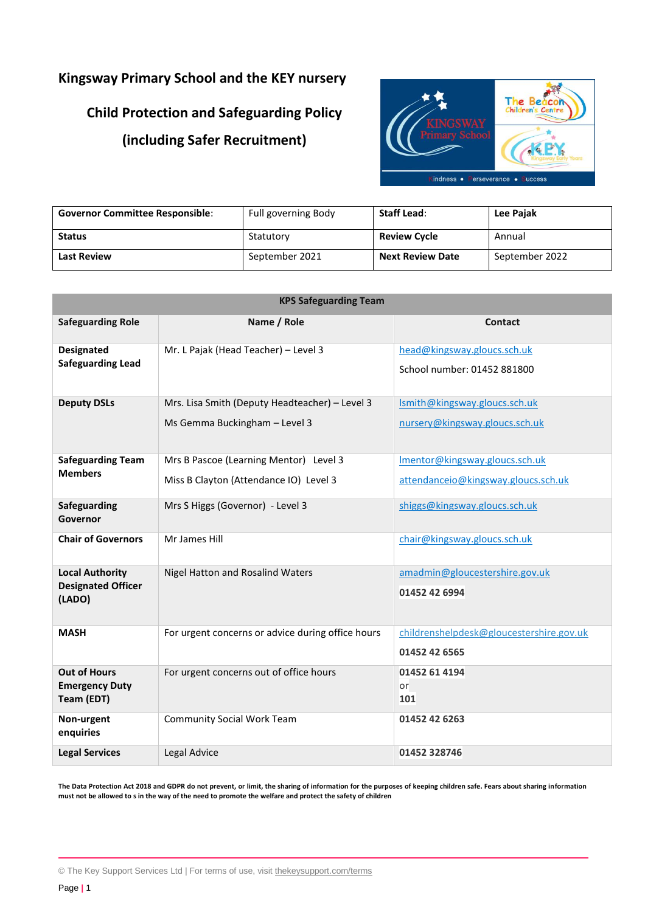## **Kingsway Primary School and the KEY nursery**

# **Child Protection and Safeguarding Policy (including Safer Recruitment)**



| <b>Governor Committee Responsible:</b> | Full governing Body | <b>Staff Lead:</b>      | <b>Lee Pajak</b> |
|----------------------------------------|---------------------|-------------------------|------------------|
| <b>Status</b>                          | Statutory           | <b>Review Cycle</b>     | Annual           |
| <b>Last Review</b>                     | September 2021      | <b>Next Review Date</b> | September 2022   |

| <b>KPS Safeguarding Team</b>                        |                                                   |                                                           |  |  |
|-----------------------------------------------------|---------------------------------------------------|-----------------------------------------------------------|--|--|
| <b>Safeguarding Role</b>                            | Name / Role                                       | <b>Contact</b>                                            |  |  |
| <b>Designated</b>                                   | Mr. L Pajak (Head Teacher) - Level 3              | head@kingsway.gloucs.sch.uk                               |  |  |
| <b>Safeguarding Lead</b>                            |                                                   | School number: 01452 881800                               |  |  |
| <b>Deputy DSLs</b>                                  | Mrs. Lisa Smith (Deputy Headteacher) - Level 3    | Ismith@kingsway.gloucs.sch.uk                             |  |  |
|                                                     | Ms Gemma Buckingham - Level 3                     | nursery@kingsway.gloucs.sch.uk                            |  |  |
| <b>Safeguarding Team</b><br><b>Members</b>          | Mrs B Pascoe (Learning Mentor) Level 3            | Imentor@kingsway.gloucs.sch.uk                            |  |  |
|                                                     | Miss B Clayton (Attendance IO) Level 3            | attendanceio@kingsway.gloucs.sch.uk                       |  |  |
| <b>Safeguarding</b><br>Governor                     | Mrs S Higgs (Governor) - Level 3                  | shiggs@kingsway.gloucs.sch.uk                             |  |  |
| <b>Chair of Governors</b>                           | Mr James Hill                                     | chair@kingsway.gloucs.sch.uk                              |  |  |
| <b>Local Authority</b><br><b>Designated Officer</b> | Nigel Hatton and Rosalind Waters                  | amadmin@gloucestershire.gov.uk                            |  |  |
| (LADO)                                              |                                                   | 01452 42 6994                                             |  |  |
| <b>MASH</b>                                         | For urgent concerns or advice during office hours | childrenshelpdesk@gloucestershire.gov.uk<br>01452 42 6565 |  |  |
| <b>Out of Hours</b><br><b>Emergency Duty</b>        | For urgent concerns out of office hours           | 01452 61 4194<br>or                                       |  |  |
| Team (EDT)                                          |                                                   | 101                                                       |  |  |
| Non-urgent<br>enquiries                             | <b>Community Social Work Team</b>                 | 01452 42 6263                                             |  |  |
| <b>Legal Services</b>                               | Legal Advice                                      | 01452 328746                                              |  |  |

**The Data Protection Act 2018 and GDPR do not prevent, or limit, the sharing of information for the purposes of keeping children safe. Fears about sharing information must not be allowed to s in the way of the need to promote the welfare and protect the safety of children**

<sup>©</sup> The Key Support Services Ltd | For terms of use, visit [thekeysupport.com/terms](https://thekeysupport.com/terms-of-use)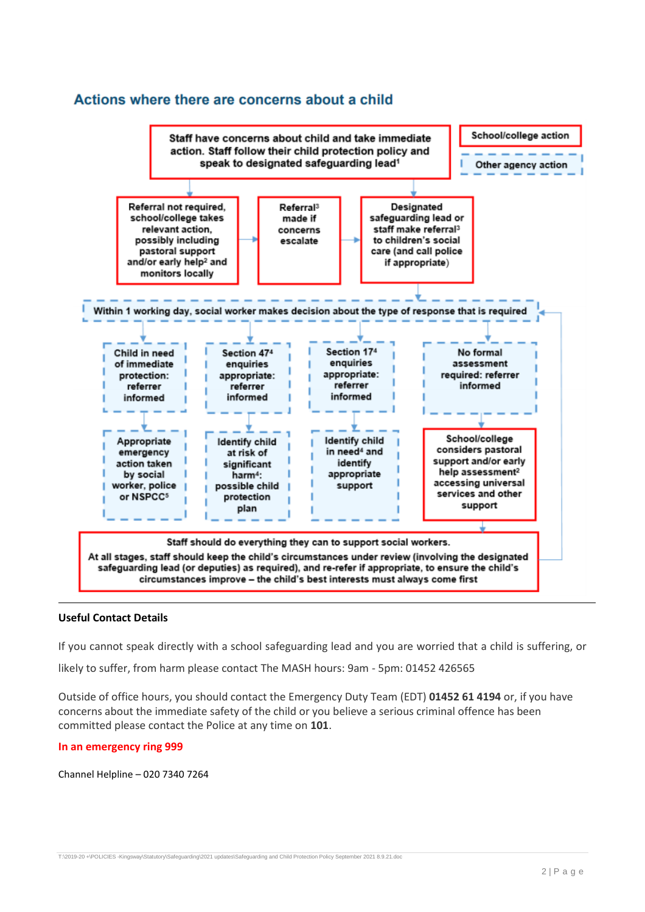## Actions where there are concerns about a child



### **Useful Contact Details**

If you cannot speak directly with a school safeguarding lead and you are worried that a child is suffering, or

likely to suffer, from harm please contact The MASH hours: 9am - 5pm: 01452 426565

Outside of office hours, you should contact the Emergency Duty Team (EDT) **01452 61 4194** or, if you have concerns about the immediate safety of the child or you believe a serious criminal offence has been committed please contact the Police at any time on **101**.

#### **In an emergency ring 999**

Channel Helpline – 020 7340 7264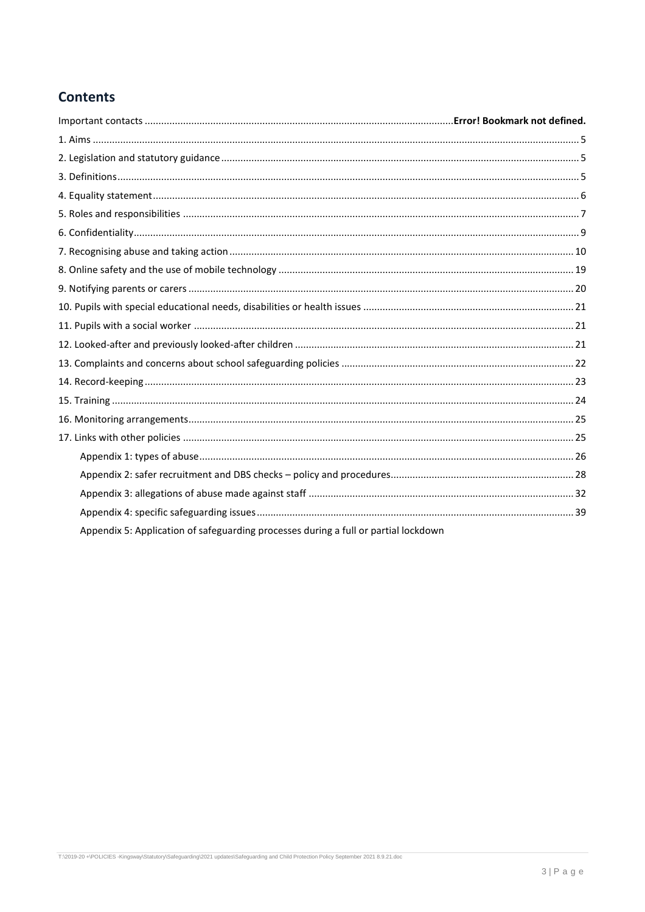## **Contents**

| Appendix 5: Application of safeguarding processes during a full or partial lockdown |  |
|-------------------------------------------------------------------------------------|--|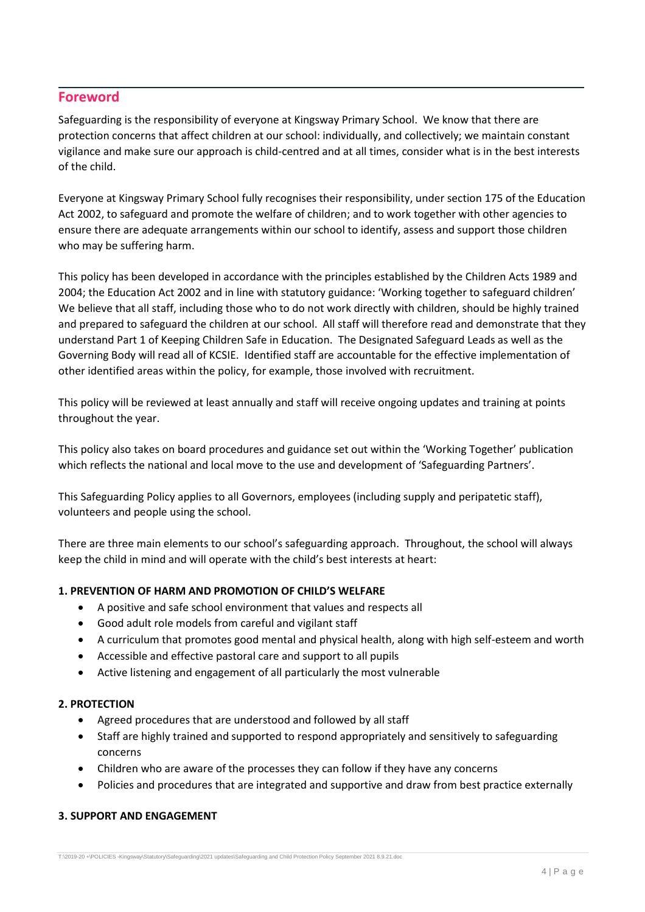## **Foreword**

Safeguarding is the responsibility of everyone at Kingsway Primary School. We know that there are protection concerns that affect children at our school: individually, and collectively; we maintain constant vigilance and make sure our approach is child-centred and at all times, consider what is in the best interests of the child.

Everyone at Kingsway Primary School fully recognises their responsibility, under section 175 of the Education Act 2002, to safeguard and promote the welfare of children; and to work together with other agencies to ensure there are adequate arrangements within our school to identify, assess and support those children who may be suffering harm.

This policy has been developed in accordance with the principles established by the Children Acts 1989 and 2004; the Education Act 2002 and in line with statutory guidance: 'Working together to safeguard children' We believe that all staff, including those who to do not work directly with children, should be highly trained and prepared to safeguard the children at our school. All staff will therefore read and demonstrate that they understand Part 1 of Keeping Children Safe in Education. The Designated Safeguard Leads as well as the Governing Body will read all of KCSIE. Identified staff are accountable for the effective implementation of other identified areas within the policy, for example, those involved with recruitment.

This policy will be reviewed at least annually and staff will receive ongoing updates and training at points throughout the year.

This policy also takes on board procedures and guidance set out within the 'Working Together' publication which reflects the national and local move to the use and development of 'Safeguarding Partners'.

This Safeguarding Policy applies to all Governors, employees (including supply and peripatetic staff), volunteers and people using the school.

There are three main elements to our school's safeguarding approach. Throughout, the school will always keep the child in mind and will operate with the child's best interests at heart:

### **1. PREVENTION OF HARM AND PROMOTION OF CHILD'S WELFARE**

- A positive and safe school environment that values and respects all
- Good adult role models from careful and vigilant staff
- A curriculum that promotes good mental and physical health, along with high self-esteem and worth
- Accessible and effective pastoral care and support to all pupils
- Active listening and engagement of all particularly the most vulnerable

### **2. PROTECTION**

- Agreed procedures that are understood and followed by all staff
- Staff are highly trained and supported to respond appropriately and sensitively to safeguarding concerns
- Children who are aware of the processes they can follow if they have any concerns
- Policies and procedures that are integrated and supportive and draw from best practice externally

### **3. SUPPORT AND ENGAGEMENT**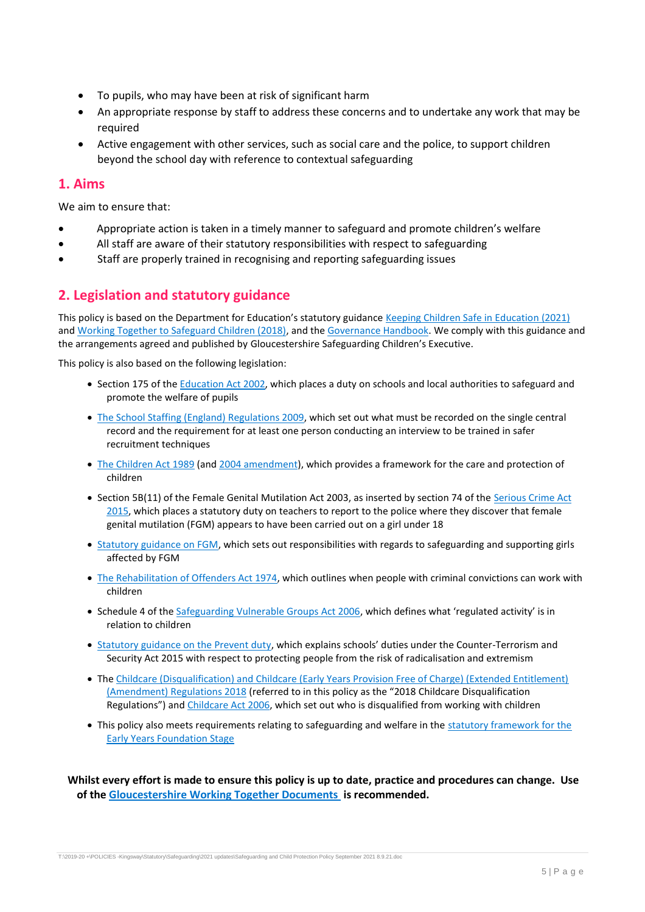- To pupils, who may have been at risk of significant harm
- An appropriate response by staff to address these concerns and to undertake any work that may be required
- Active engagement with other services, such as social care and the police, to support children beyond the school day with reference to contextual safeguarding

## <span id="page-4-0"></span>**1. Aims**

We aim to ensure that:

- Appropriate action is taken in a timely manner to safeguard and promote children's welfare
- All staff are aware of their statutory responsibilities with respect to safeguarding
- Staff are properly trained in recognising and reporting safeguarding issues

## <span id="page-4-1"></span>**2. Legislation and statutory guidance**

This policy is based on the Department for Education's statutory guidance [Keeping Children Safe in Education \(2021\)](https://www.gov.uk/government/publications/keeping-children-safe-in-education--2) an[d Working Together to Safeguard Children \(2018\),](https://www.gov.uk/government/publications/working-together-to-safeguard-children--2) and the [Governance Handbook.](https://www.gov.uk/government/publications/governance-handbook) We comply with this guidance and the arrangements agreed and published by Gloucestershire Safeguarding Children's Executive.

This policy is also based on the following legislation:

- Section 175 of the [Education Act 2002,](http://www.legislation.gov.uk/ukpga/2002/32/section/175) which places a duty on schools and local authorities to safeguard and promote the welfare of pupils
- [The School Staffing \(England\) Regulations 2009,](http://www.legislation.gov.uk/uksi/2009/2680/contents/made) which set out what must be recorded on the single central record and the requirement for at least one person conducting an interview to be trained in safer recruitment techniques
- [The Children Act 1989](http://www.legislation.gov.uk/ukpga/1989/41) (and [2004 amendment\)](http://www.legislation.gov.uk/ukpga/2004/31/contents), which provides a framework for the care and protection of children
- Section 5B(11) of the Female Genital Mutilation Act 2003, as inserted by section 74 of the Serious Crime Act [2015,](http://www.legislation.gov.uk/ukpga/2015/9/part/5/crossheading/female-genital-mutilation) which places a statutory duty on teachers to report to the police where they discover that female genital mutilation (FGM) appears to have been carried out on a girl under 18
- [Statutory guidance on FGM,](https://www.gov.uk/government/publications/multi-agency-statutory-guidance-on-female-genital-mutilation) which sets out responsibilities with regards to safeguarding and supporting girls affected by FGM
- [The Rehabilitation of Offenders Act 1974,](http://www.legislation.gov.uk/ukpga/1974/53) which outlines when people with criminal convictions can work with children
- Schedule 4 of th[e Safeguarding Vulnerable Groups Act 2006](http://www.legislation.gov.uk/ukpga/2006/47/schedule/4), which defines what 'regulated activity' is in relation to children
- [Statutory guidance on the Prevent duty](https://www.gov.uk/government/publications/prevent-duty-guidance), which explains schools' duties under the Counter-Terrorism and Security Act 2015 with respect to protecting people from the risk of radicalisation and extremism
- The [Childcare \(Disqualification\) and Childcare \(Early Years Provision Free of Charge\) \(Extended Entitlement\)](http://www.legislation.gov.uk/uksi/2018/794/contents/made)  [\(Amendment\) Regulations 2018](http://www.legislation.gov.uk/uksi/2018/794/contents/made) (referred to in this policy as the "2018 Childcare Disqualification Regulations") and [Childcare Act 2006,](http://www.legislation.gov.uk/ukpga/2006/21/contents) which set out who is disqualified from working with children
- <span id="page-4-2"></span>• This policy also meets requirements relating to safeguarding and welfare in the statutory framework for the [Early Years Foundation Stage](https://www.gov.uk/government/publications/early-years-foundation-stage-framework--2)

**Whilst every effort is made to ensure this policy is up to date, practice and procedures can change. Use of th[e Gloucestershire Working Together Documents i](https://www.gscb.org.uk/gloucestershire-safeguarding-children-board/working-together-2018-new-arrangements/)s recommended.**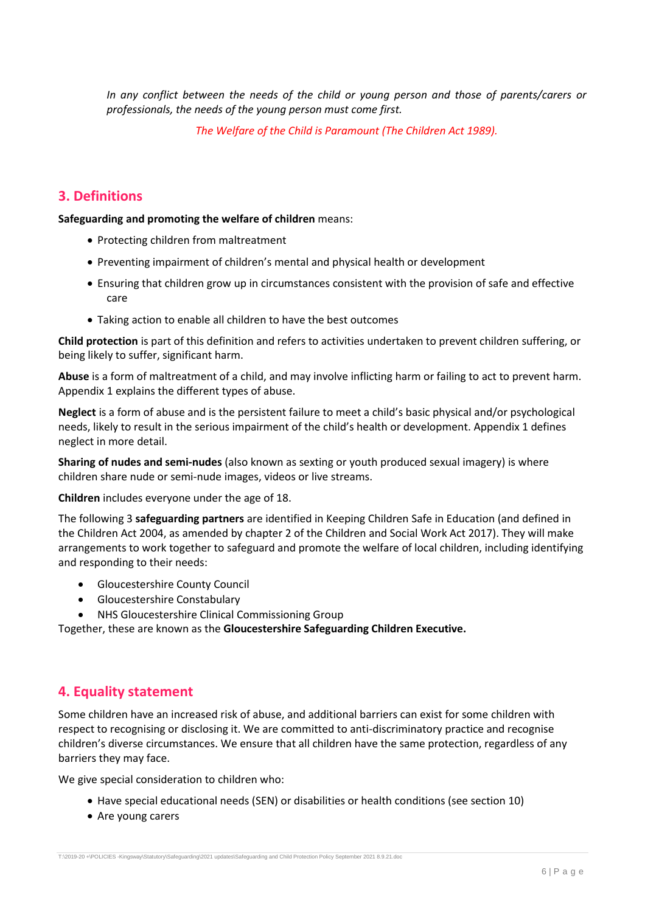*In any conflict between the needs of the child or young person and those of parents/carers or professionals, the needs of the young person must come first.*

*The Welfare of the Child is Paramount (The Children Act 1989).*

## **3. Definitions**

**Safeguarding and promoting the welfare of children** means:

- Protecting children from maltreatment
- Preventing impairment of children's mental and physical health or development
- Ensuring that children grow up in circumstances consistent with the provision of safe and effective care
- Taking action to enable all children to have the best outcomes

**Child protection** is part of this definition and refers to activities undertaken to prevent children suffering, or being likely to suffer, significant harm.

**Abuse** is a form of maltreatment of a child, and may involve inflicting harm or failing to act to prevent harm. Appendix 1 explains the different types of abuse.

**Neglect** is a form of abuse and is the persistent failure to meet a child's basic physical and/or psychological needs, likely to result in the serious impairment of the child's health or development. Appendix 1 defines neglect in more detail.

**Sharing of nudes and semi-nudes** (also known as sexting or youth produced sexual imagery) is where children share nude or semi-nude images, videos or live streams.

**Children** includes everyone under the age of 18.

The following 3 **safeguarding partners** are identified in Keeping Children Safe in Education (and defined in the Children Act 2004, as amended by chapter 2 of the Children and Social Work Act 2017). They will make arrangements to work together to safeguard and promote the welfare of local children, including identifying and responding to their needs:

- Gloucestershire County Council
- Gloucestershire Constabulary
- NHS Gloucestershire Clinical Commissioning Group

Together, these are known as the **Gloucestershire Safeguarding Children Executive.**

## <span id="page-5-0"></span>**4. Equality statement**

Some children have an increased risk of abuse, and additional barriers can exist for some children with respect to recognising or disclosing it. We are committed to anti-discriminatory practice and recognise children's diverse circumstances. We ensure that all children have the same protection, regardless of any barriers they may face.

We give special consideration to children who:

- Have special educational needs (SEN) or disabilities or health conditions (see section 10)
- Are young carers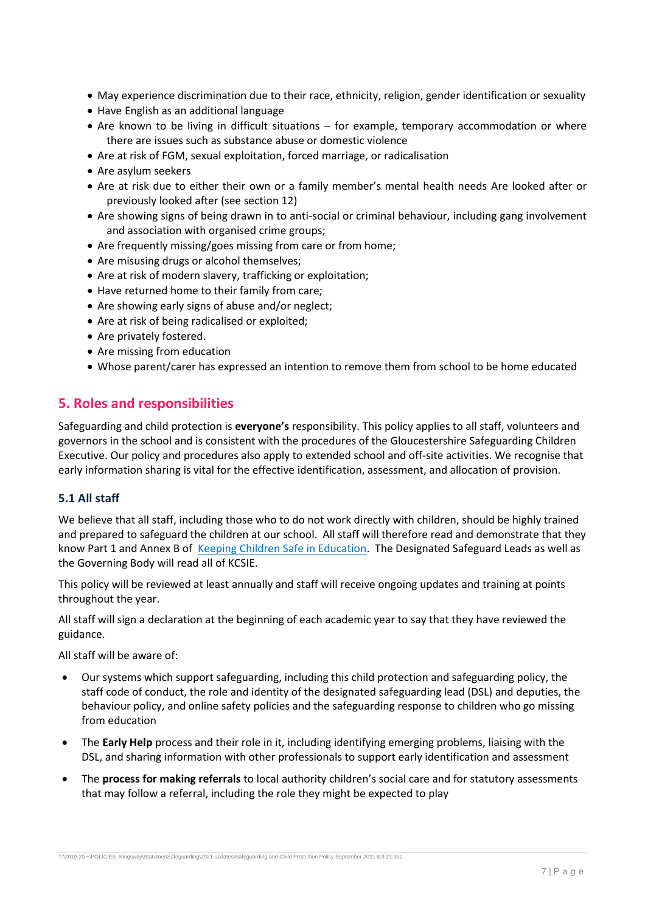- May experience discrimination due to their race, ethnicity, religion, gender identification or sexuality
- Have English as an additional language
- Are known to be living in difficult situations for example, temporary accommodation or where there are issues such as substance abuse or domestic violence
- Are at risk of FGM, sexual exploitation, forced marriage, or radicalisation
- Are asylum seekers
- Are at risk due to either their own or a family member's mental health needs Are looked after or previously looked after (see section 12)
- Are showing signs of being drawn in to anti-social or criminal behaviour, including gang involvement and association with organised crime groups;
- Are frequently missing/goes missing from care or from home;
- Are misusing drugs or alcohol themselves;
- Are at risk of modern slavery, trafficking or exploitation;
- Have returned home to their family from care;
- Are showing early signs of abuse and/or neglect;
- Are at risk of being radicalised or exploited;
- Are privately fostered.
- Are missing from education
- Whose parent/carer has expressed an intention to remove them from school to be home educated

## <span id="page-6-0"></span>**5. Roles and responsibilities**

Safeguarding and child protection is **everyone's** responsibility. This policy applies to all staff, volunteers and governors in the school and is consistent with the procedures of the Gloucestershire Safeguarding Children Executive. Our policy and procedures also apply to extended school and off-site activities. We recognise that early information sharing is vital for the effective identification, assessment, and allocation of provision.

## **5.1 All staff**

We believe that all staff, including those who to do not work directly with children, should be highly trained and prepared to safeguard the children at our school. All staff will therefore read and demonstrate that they know Part 1 and Annex B of [Keeping Children Safe in Education.](https://www.gov.uk/government/publications/keeping-children-safe-in-education--2) The Designated Safeguard Leads as well as the Governing Body will read all of KCSIE.

This policy will be reviewed at least annually and staff will receive ongoing updates and training at points throughout the year.

All staff will sign a declaration at the beginning of each academic year to say that they have reviewed the guidance.

All staff will be aware of:

- Our systems which support safeguarding, including this child protection and safeguarding policy, the staff code of conduct, the role and identity of the designated safeguarding lead (DSL) and deputies, the behaviour policy, and online safety policies and the safeguarding response to children who go missing from education
- The **Early Help** process and their role in it, including identifying emerging problems, liaising with the DSL, and sharing information with other professionals to support early identification and assessment
- The **process for making referrals** to local authority children's social care and for statutory assessments that may follow a referral, including the role they might be expected to play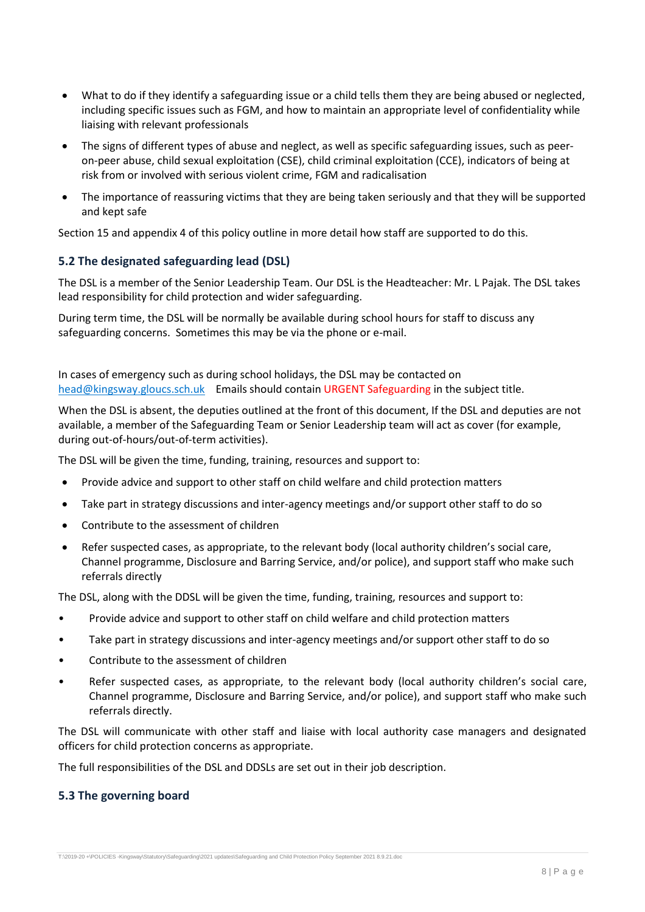- What to do if they identify a safeguarding issue or a child tells them they are being abused or neglected, including specific issues such as FGM, and how to maintain an appropriate level of confidentiality while liaising with relevant professionals
- The signs of different types of abuse and neglect, as well as specific safeguarding issues, such as peeron-peer abuse, child sexual exploitation (CSE), child criminal exploitation (CCE), indicators of being at risk from or involved with serious violent crime, FGM and radicalisation
- The importance of reassuring victims that they are being taken seriously and that they will be supported and kept safe

Section 15 and appendix 4 of this policy outline in more detail how staff are supported to do this.

## **5.2 The designated safeguarding lead (DSL)**

The DSL is a member of the Senior Leadership Team. Our DSL is the Headteacher: Mr. L Pajak. The DSL takes lead responsibility for child protection and wider safeguarding.

During term time, the DSL will be normally be available during school hours for staff to discuss any safeguarding concerns. Sometimes this may be via the phone or e-mail.

In cases of emergency such as during school holidays, the DSL may be contacted on [head@kingsway.gloucs.sch.uk](mailto:head@kingsway.gloucs.sch.uk) Emails should contain URGENT Safeguarding in the subject title.

When the DSL is absent, the deputies outlined at the front of this document, If the DSL and deputies are not available, a member of the Safeguarding Team or Senior Leadership team will act as cover (for example, during out-of-hours/out-of-term activities).

The DSL will be given the time, funding, training, resources and support to:

- Provide advice and support to other staff on child welfare and child protection matters
- Take part in strategy discussions and inter-agency meetings and/or support other staff to do so
- Contribute to the assessment of children
- Refer suspected cases, as appropriate, to the relevant body (local authority children's social care, Channel programme, Disclosure and Barring Service, and/or police), and support staff who make such referrals directly

The DSL, along with the DDSL will be given the time, funding, training, resources and support to:

- Provide advice and support to other staff on child welfare and child protection matters
- Take part in strategy discussions and inter-agency meetings and/or support other staff to do so
- Contribute to the assessment of children
- Refer suspected cases, as appropriate, to the relevant body (local authority children's social care, Channel programme, Disclosure and Barring Service, and/or police), and support staff who make such referrals directly.

The DSL will communicate with other staff and liaise with local authority case managers and designated officers for child protection concerns as appropriate.

The full responsibilities of the DSL and DDSLs are set out in their job description.

## **5.3 The governing board**

T:\2019-20 +\POLICIES -Kingsway\Statutory\Safeguarding\2021 updates\Safeguarding and Child Protection Policy September 2021 8.9.21.doc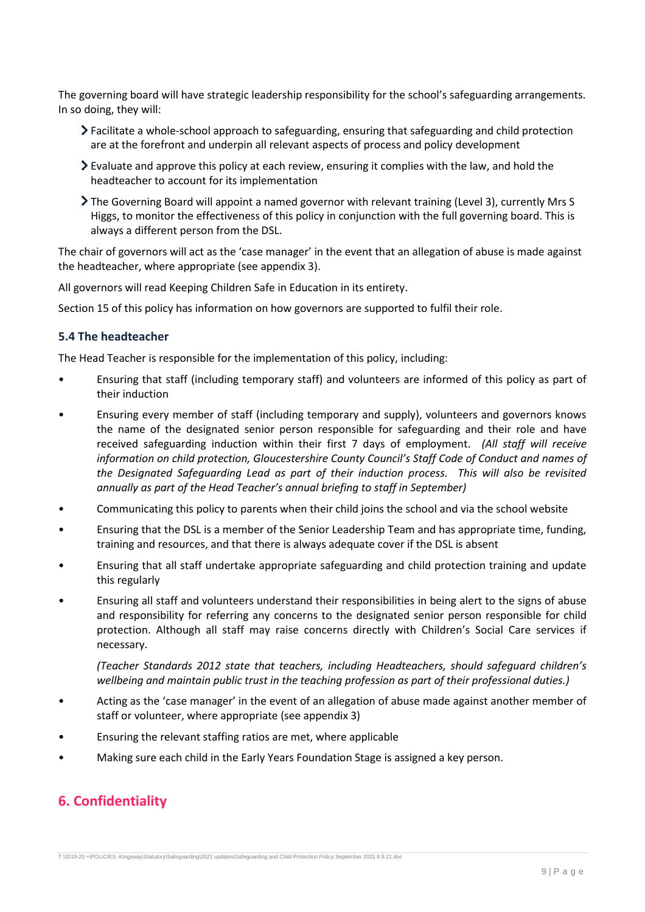The governing board will have strategic leadership responsibility for the school's safeguarding arrangements. In so doing, they will:

- Facilitate a whole-school approach to safeguarding, ensuring that safeguarding and child protection are at the forefront and underpin all relevant aspects of process and policy development
- Evaluate and approve this policy at each review, ensuring it complies with the law, and hold the headteacher to account for its implementation
- The Governing Board will appoint a named governor with relevant training (Level 3), currently Mrs S Higgs, to monitor the effectiveness of this policy in conjunction with the full governing board. This is always a different person from the DSL.

The chair of governors will act as the 'case manager' in the event that an allegation of abuse is made against the headteacher, where appropriate (see appendix 3).

All governors will read Keeping Children Safe in Education in its entirety.

Section 15 of this policy has information on how governors are supported to fulfil their role.

### **5.4 The headteacher**

The Head Teacher is responsible for the implementation of this policy, including:

- Ensuring that staff (including temporary staff) and volunteers are informed of this policy as part of their induction
- Ensuring every member of staff (including temporary and supply), volunteers and governors knows the name of the designated senior person responsible for safeguarding and their role and have received safeguarding induction within their first 7 days of employment. *(All staff will receive information on child protection, Gloucestershire County Council's Staff Code of Conduct and names of the Designated Safeguarding Lead as part of their induction process. This will also be revisited annually as part of the Head Teacher's annual briefing to staff in September)*
- Communicating this policy to parents when their child joins the school and via the school website
- Ensuring that the DSL is a member of the Senior Leadership Team and has appropriate time, funding, training and resources, and that there is always adequate cover if the DSL is absent
- Ensuring that all staff undertake appropriate safeguarding and child protection training and update this regularly
- Ensuring all staff and volunteers understand their responsibilities in being alert to the signs of abuse and responsibility for referring any concerns to the designated senior person responsible for child protection. Although all staff may raise concerns directly with Children's Social Care services if necessary.

*(Teacher Standards 2012 state that teachers, including Headteachers, should safeguard children's wellbeing and maintain public trust in the teaching profession as part of their professional duties.)*

- Acting as the 'case manager' in the event of an allegation of abuse made against another member of staff or volunteer, where appropriate (see appendix 3)
- Ensuring the relevant staffing ratios are met, where applicable
- Making sure each child in the Early Years Foundation Stage is assigned a key person.

## <span id="page-8-0"></span>**6. Confidentiality**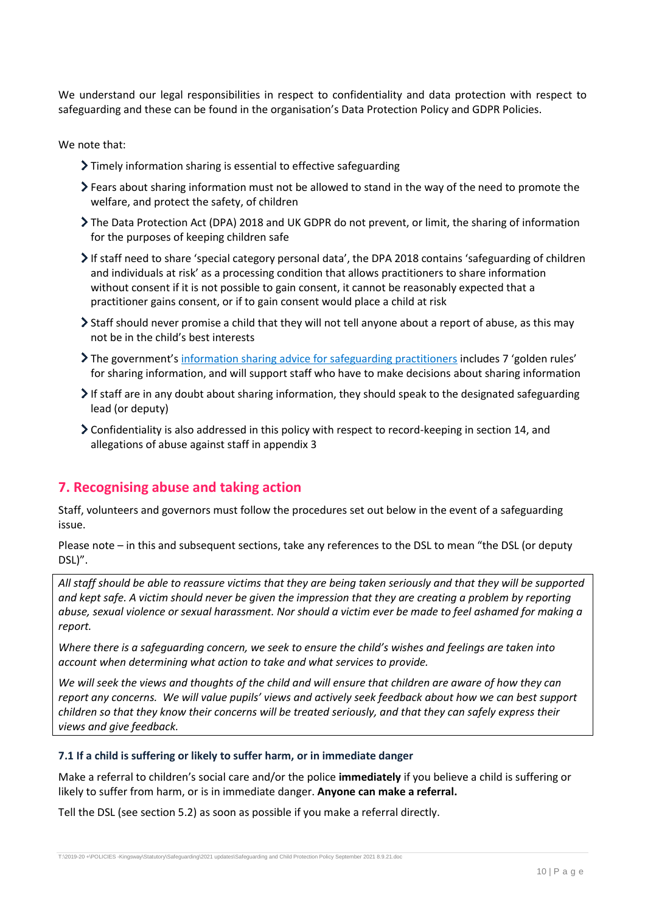We understand our legal responsibilities in respect to confidentiality and data protection with respect to safeguarding and these can be found in the organisation's Data Protection Policy and GDPR Policies.

We note that:

- Timely information sharing is essential to effective safeguarding
- Fears about sharing information must not be allowed to stand in the way of the need to promote the welfare, and protect the safety, of children
- The Data Protection Act (DPA) 2018 and UK GDPR do not prevent, or limit, the sharing of information for the purposes of keeping children safe
- If staff need to share 'special category personal data', the DPA 2018 contains 'safeguarding of children and individuals at risk' as a processing condition that allows practitioners to share information without consent if it is not possible to gain consent, it cannot be reasonably expected that a practitioner gains consent, or if to gain consent would place a child at risk
- Staff should never promise a child that they will not tell anyone about a report of abuse, as this may not be in the child's best interests
- The government's [information sharing advice for safeguarding practitioners](https://www.gov.uk/government/publications/safeguarding-practitioners-information-sharing-advice) includes 7 'golden rules' for sharing information, and will support staff who have to make decisions about sharing information
- If staff are in any doubt about sharing information, they should speak to the designated safeguarding lead (or deputy)
- Confidentiality is also addressed in this policy with respect to record-keeping in section 14, and allegations of abuse against staff in appendix 3

## <span id="page-9-0"></span>**7. Recognising abuse and taking action**

Staff, volunteers and governors must follow the procedures set out below in the event of a safeguarding issue.

Please note – in this and subsequent sections, take any references to the DSL to mean "the DSL (or deputy DSL)".

*All staff should be able to reassure victims that they are being taken seriously and that they will be supported and kept safe. A victim should never be given the impression that they are creating a problem by reporting abuse, sexual violence or sexual harassment. Nor should a victim ever be made to feel ashamed for making a report.*

*Where there is a safeguarding concern, we seek to ensure the child's wishes and feelings are taken into account when determining what action to take and what services to provide.* 

*We will seek the views and thoughts of the child and will ensure that children are aware of how they can report any concerns. We will value pupils' views and actively seek feedback about how we can best support children so that they know their concerns will be treated seriously, and that they can safely express their views and give feedback.*

#### **7.1 If a child is suffering or likely to suffer harm, or in immediate danger**

Make a referral to children's social care and/or the police **immediately** if you believe a child is suffering or likely to suffer from harm, or is in immediate danger. **Anyone can make a referral.**

Tell the DSL (see section 5.2) as soon as possible if you make a referral directly.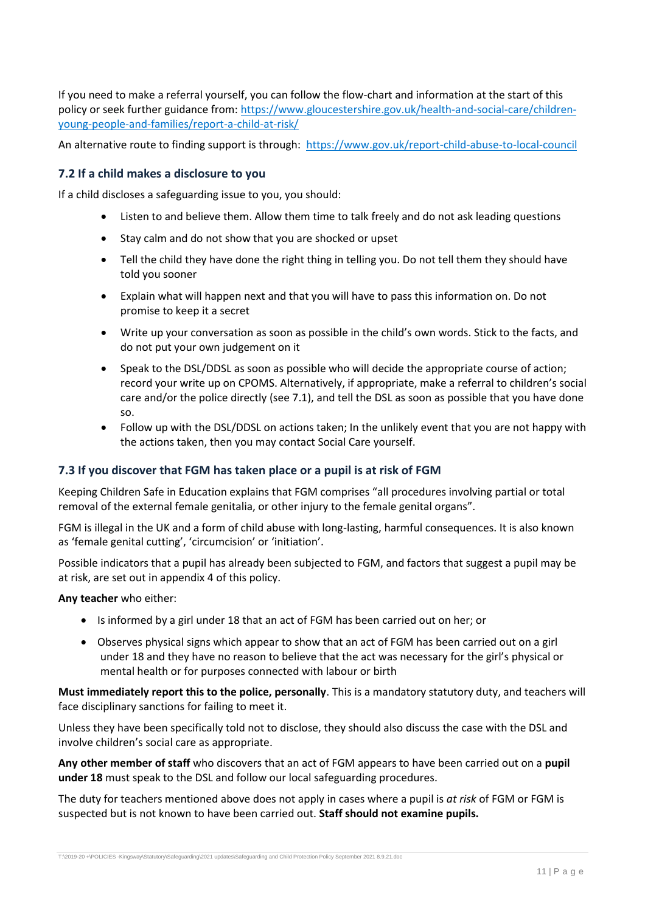If you need to make a referral yourself, you can follow the flow-chart and information at the start of this policy or seek further guidance from: [https://www.gloucestershire.gov.uk/health-and-social-care/children](https://www.gloucestershire.gov.uk/health-and-social-care/children-young-people-and-families/report-a-child-at-risk/)[young-people-and-families/report-a-child-at-risk/](https://www.gloucestershire.gov.uk/health-and-social-care/children-young-people-and-families/report-a-child-at-risk/)

An alternative route to finding support is through: <https://www.gov.uk/report-child-abuse-to-local-council>

### **7.2 If a child makes a disclosure to you**

If a child discloses a safeguarding issue to you, you should:

- Listen to and believe them. Allow them time to talk freely and do not ask leading questions
- Stay calm and do not show that you are shocked or upset
- Tell the child they have done the right thing in telling you. Do not tell them they should have told you sooner
- Explain what will happen next and that you will have to pass this information on. Do not promise to keep it a secret
- Write up your conversation as soon as possible in the child's own words. Stick to the facts, and do not put your own judgement on it
- Speak to the DSL/DDSL as soon as possible who will decide the appropriate course of action; record your write up on CPOMS. Alternatively, if appropriate, make a referral to children's social care and/or the police directly (see 7.1), and tell the DSL as soon as possible that you have done so.
- Follow up with the DSL/DDSL on actions taken; In the unlikely event that you are not happy with the actions taken, then you may contact Social Care yourself.

### **7.3 If you discover that FGM has taken place or a pupil is at risk of FGM**

Keeping Children Safe in Education explains that FGM comprises "all procedures involving partial or total removal of the external female genitalia, or other injury to the female genital organs".

FGM is illegal in the UK and a form of child abuse with long-lasting, harmful consequences. It is also known as 'female genital cutting', 'circumcision' or 'initiation'.

Possible indicators that a pupil has already been subjected to FGM, and factors that suggest a pupil may be at risk, are set out in appendix 4 of this policy.

**Any teacher** who either:

- Is informed by a girl under 18 that an act of FGM has been carried out on her; or
- Observes physical signs which appear to show that an act of FGM has been carried out on a girl under 18 and they have no reason to believe that the act was necessary for the girl's physical or mental health or for purposes connected with labour or birth

**Must immediately report this to the police, personally**. This is a mandatory statutory duty, and teachers will face disciplinary sanctions for failing to meet it.

Unless they have been specifically told not to disclose, they should also discuss the case with the DSL and involve children's social care as appropriate.

**Any other member of staff** who discovers that an act of FGM appears to have been carried out on a **pupil under 18** must speak to the DSL and follow our local safeguarding procedures.

The duty for teachers mentioned above does not apply in cases where a pupil is *at risk* of FGM or FGM is suspected but is not known to have been carried out. **Staff should not examine pupils.**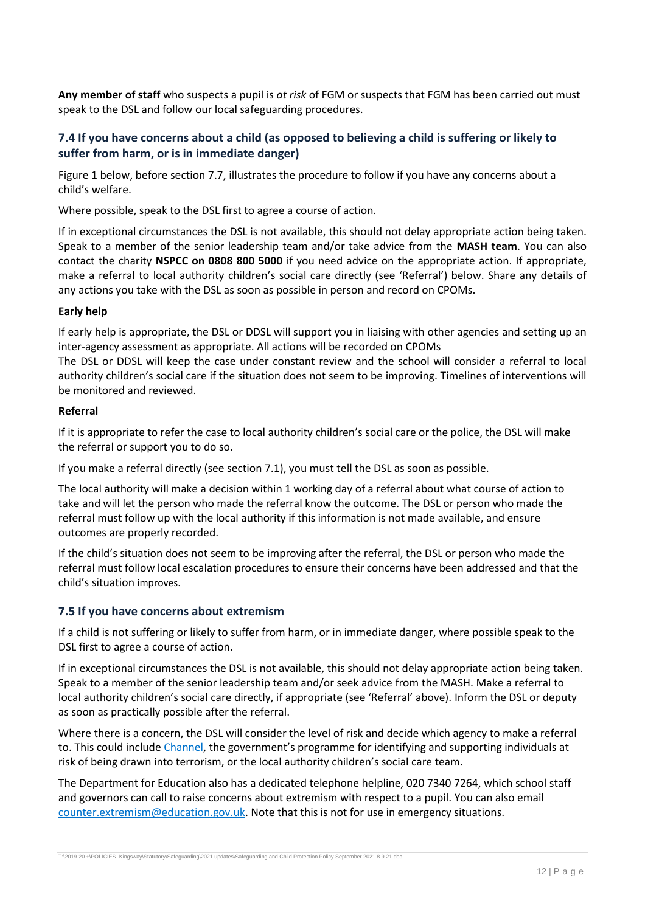**Any member of staff** who suspects a pupil is *at risk* of FGM or suspects that FGM has been carried out must speak to the DSL and follow our local safeguarding procedures.

## **7.4 If you have concerns about a child (as opposed to believing a child is suffering or likely to suffer from harm, or is in immediate danger)**

Figure 1 below, before section 7.7, illustrates the procedure to follow if you have any concerns about a child's welfare.

Where possible, speak to the DSL first to agree a course of action.

If in exceptional circumstances the DSL is not available, this should not delay appropriate action being taken. Speak to a member of the senior leadership team and/or take advice from the **MASH team**. You can also contact the charity **NSPCC on 0808 800 5000** if you need advice on the appropriate action. If appropriate, make a referral to local authority children's social care directly (see 'Referral') below. Share any details of any actions you take with the DSL as soon as possible in person and record on CPOMs.

### **Early help**

If early help is appropriate, the DSL or DDSL will support you in liaising with other agencies and setting up an inter-agency assessment as appropriate. All actions will be recorded on CPOMs

The DSL or DDSL will keep the case under constant review and the school will consider a referral to local authority children's social care if the situation does not seem to be improving. Timelines of interventions will be monitored and reviewed.

#### **Referral**

If it is appropriate to refer the case to local authority children's social care or the police, the DSL will make the referral or support you to do so.

If you make a referral directly (see section 7.1), you must tell the DSL as soon as possible.

The local authority will make a decision within 1 working day of a referral about what course of action to take and will let the person who made the referral know the outcome. The DSL or person who made the referral must follow up with the local authority if this information is not made available, and ensure outcomes are properly recorded.

If the child's situation does not seem to be improving after the referral, the DSL or person who made the referral must follow local escalation procedures to ensure their concerns have been addressed and that the child's situation improves.

### **7.5 If you have concerns about extremism**

If a child is not suffering or likely to suffer from harm, or in immediate danger, where possible speak to the DSL first to agree a course of action.

If in exceptional circumstances the DSL is not available, this should not delay appropriate action being taken. Speak to a member of the senior leadership team and/or seek advice from the MASH. Make a referral to local authority children's social care directly, if appropriate (see 'Referral' above). Inform the DSL or deputy as soon as practically possible after the referral.

Where there is a concern, the DSL will consider the level of risk and decide which agency to make a referral to. This could include [Channel](https://www.gov.uk/government/publications/channel-guidance), the government's programme for identifying and supporting individuals at risk of being drawn into terrorism, or the local authority children's social care team.

The Department for Education also has a dedicated telephone helpline, 020 7340 7264, which school staff and governors can call to raise concerns about extremism with respect to a pupil. You can also email [counter.extremism@education.gov.uk.](mailto:counter.extremism@education.gov.uk) Note that this is not for use in emergency situations.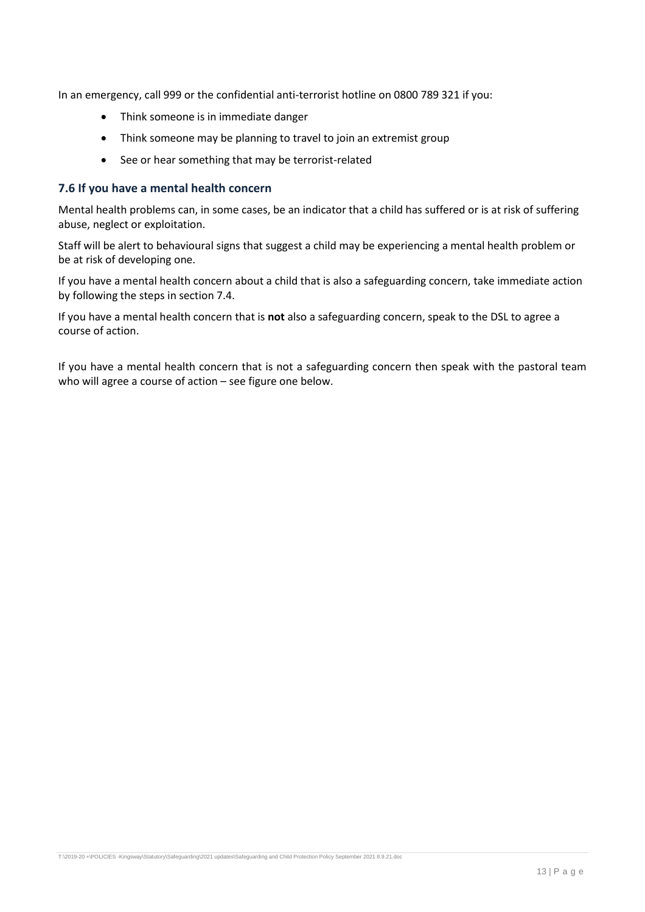In an emergency, call 999 or the confidential anti-terrorist hotline on 0800 789 321 if you:

- Think someone is in immediate danger
- Think someone may be planning to travel to join an extremist group
- See or hear something that may be terrorist-related

### **7.6 If you have a mental health concern**

Mental health problems can, in some cases, be an indicator that a child has suffered or is at risk of suffering abuse, neglect or exploitation.

Staff will be alert to behavioural signs that suggest a child may be experiencing a mental health problem or be at risk of developing one.

If you have a mental health concern about a child that is also a safeguarding concern, take immediate action by following the steps in section 7.4.

If you have a mental health concern that is **not** also a safeguarding concern, speak to the DSL to agree a course of action.

If you have a mental health concern that is not a safeguarding concern then speak with the pastoral team who will agree a course of action – see figure one below.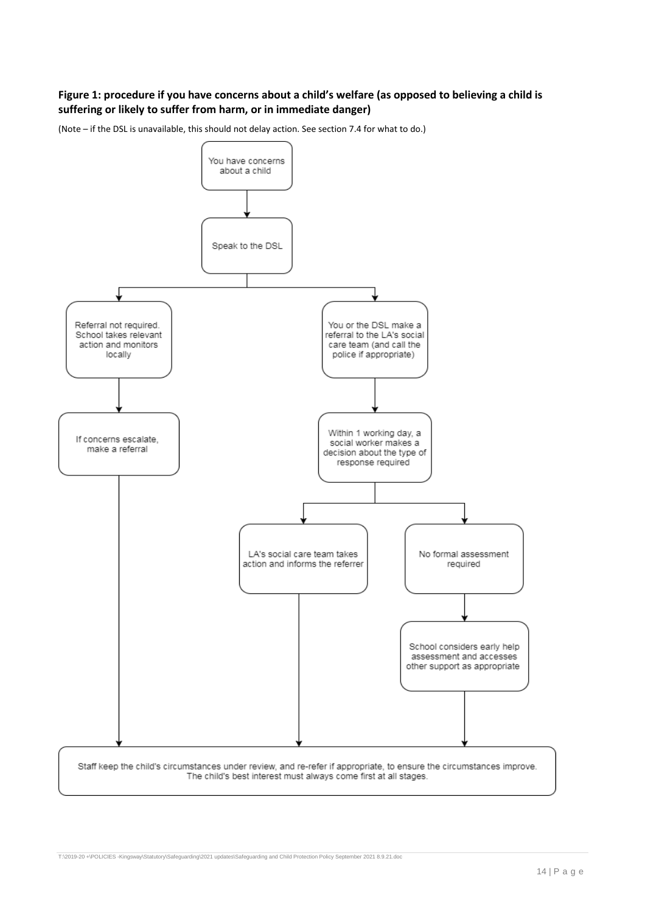## **Figure 1: procedure if you have concerns about a child's welfare (as opposed to believing a child is suffering or likely to suffer from harm, or in immediate danger)**

(Note – if the DSL is unavailable, this should not delay action. See section 7.4 for what to do.)

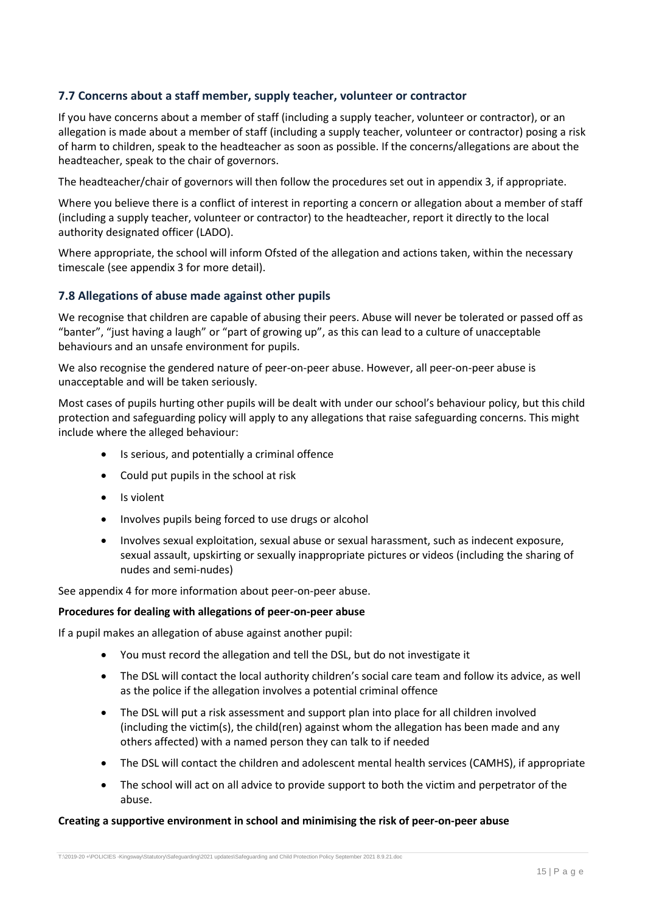## **7.7 Concerns about a staff member, supply teacher, volunteer or contractor**

If you have concerns about a member of staff (including a supply teacher, volunteer or contractor), or an allegation is made about a member of staff (including a supply teacher, volunteer or contractor) posing a risk of harm to children, speak to the headteacher as soon as possible. If the concerns/allegations are about the headteacher, speak to the chair of governors.

The headteacher/chair of governors will then follow the procedures set out in appendix 3, if appropriate.

Where you believe there is a conflict of interest in reporting a concern or allegation about a member of staff (including a supply teacher, volunteer or contractor) to the headteacher, report it directly to the local authority designated officer (LADO).

Where appropriate, the school will inform Ofsted of the allegation and actions taken, within the necessary timescale (see appendix 3 for more detail).

## **7.8 Allegations of abuse made against other pupils**

We recognise that children are capable of abusing their peers. Abuse will never be tolerated or passed off as "banter", "just having a laugh" or "part of growing up", as this can lead to a culture of unacceptable behaviours and an unsafe environment for pupils.

We also recognise the gendered nature of peer-on-peer abuse. However, all peer-on-peer abuse is unacceptable and will be taken seriously.

Most cases of pupils hurting other pupils will be dealt with under our school's behaviour policy, but this child protection and safeguarding policy will apply to any allegations that raise safeguarding concerns. This might include where the alleged behaviour:

- Is serious, and potentially a criminal offence
- Could put pupils in the school at risk
- Is violent
- Involves pupils being forced to use drugs or alcohol
- Involves sexual exploitation, sexual abuse or sexual harassment, such as indecent exposure, sexual assault, upskirting or sexually inappropriate pictures or videos (including the sharing of nudes and semi-nudes)

See appendix 4 for more information about peer-on-peer abuse.

### **Procedures for dealing with allegations of peer-on-peer abuse**

If a pupil makes an allegation of abuse against another pupil:

- You must record the allegation and tell the DSL, but do not investigate it
- The DSL will contact the local authority children's social care team and follow its advice, as well as the police if the allegation involves a potential criminal offence
- The DSL will put a risk assessment and support plan into place for all children involved (including the victim(s), the child(ren) against whom the allegation has been made and any others affected) with a named person they can talk to if needed
- The DSL will contact the children and adolescent mental health services (CAMHS), if appropriate
- The school will act on all advice to provide support to both the victim and perpetrator of the abuse.

### **Creating a supportive environment in school and minimising the risk of peer-on-peer abuse**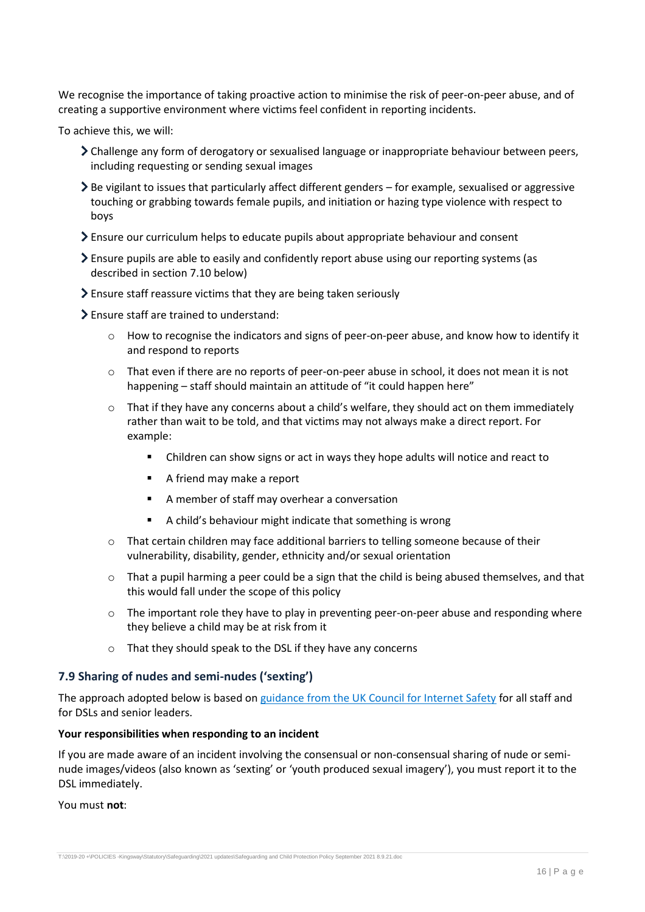We recognise the importance of taking proactive action to minimise the risk of peer-on-peer abuse, and of creating a supportive environment where victims feel confident in reporting incidents.

To achieve this, we will:

- Challenge any form of derogatory or sexualised language or inappropriate behaviour between peers, including requesting or sending sexual images
- $\geq$  Be vigilant to issues that particularly affect different genders for example, sexualised or aggressive touching or grabbing towards female pupils, and initiation or hazing type violence with respect to boys
- Ensure our curriculum helps to educate pupils about appropriate behaviour and consent
- Ensure pupils are able to easily and confidently report abuse using our reporting systems (as described in section 7.10 below)
- Ensure staff reassure victims that they are being taken seriously
- Ensure staff are trained to understand:
	- o How to recognise the indicators and signs of peer-on-peer abuse, and know how to identify it and respond to reports
	- o That even if there are no reports of peer-on-peer abuse in school, it does not mean it is not happening – staff should maintain an attitude of "it could happen here"
	- $\circ$  That if they have any concerns about a child's welfare, they should act on them immediately rather than wait to be told, and that victims may not always make a direct report. For example:
		- Children can show signs or act in ways they hope adults will notice and react to
		- A friend may make a report
		- A member of staff may overhear a conversation
		- A child's behaviour might indicate that something is wrong
	- $\circ$  That certain children may face additional barriers to telling someone because of their vulnerability, disability, gender, ethnicity and/or sexual orientation
	- $\circ$  That a pupil harming a peer could be a sign that the child is being abused themselves, and that this would fall under the scope of this policy
	- $\circ$  The important role they have to play in preventing peer-on-peer abuse and responding where they believe a child may be at risk from it
	- o That they should speak to the DSL if they have any concerns

### **7.9 Sharing of nudes and semi-nudes ('sexting')**

The approach adopted below is based on [guidance from the UK Council for Internet Safety](https://www.gov.uk/government/publications/sharing-nudes-and-semi-nudes-advice-for-education-settings-working-with-children-and-young-people) for all staff and for [DSLs and senior leaders.](https://assets.publishing.service.gov.uk/government/uploads/system/uploads/attachment_data/file/609874/6_2939_SP_NCA_Sexting_In_Schools_FINAL_Update_Jan17.pdf)

#### **Your responsibilities when responding to an incident**

If you are made aware of an incident involving the consensual or non-consensual sharing of nude or seminude images/videos (also known as 'sexting' or 'youth produced sexual imagery'), you must report it to the DSL immediately.

You must **not**: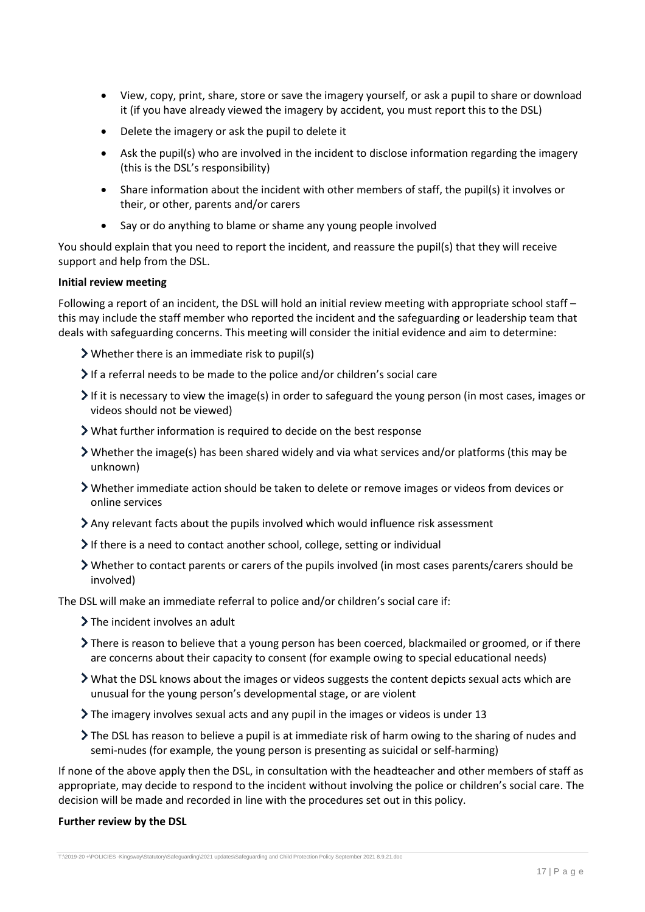- View, copy, print, share, store or save the imagery yourself, or ask a pupil to share or download it (if you have already viewed the imagery by accident, you must report this to the DSL)
- Delete the imagery or ask the pupil to delete it
- Ask the pupil(s) who are involved in the incident to disclose information regarding the imagery (this is the DSL's responsibility)
- Share information about the incident with other members of staff, the pupil(s) it involves or their, or other, parents and/or carers
- Say or do anything to blame or shame any young people involved

You should explain that you need to report the incident, and reassure the pupil(s) that they will receive support and help from the DSL.

### **Initial review meeting**

Following a report of an incident, the DSL will hold an initial review meeting with appropriate school staff – this may include the staff member who reported the incident and the safeguarding or leadership team that deals with safeguarding concerns. This meeting will consider the initial evidence and aim to determine:

Whether there is an immediate risk to pupil(s)

- If a referral needs to be made to the police and/or children's social care
- If it is necessary to view the image(s) in order to safeguard the young person (in most cases, images or videos should not be viewed)
- What further information is required to decide on the best response
- Whether the image(s) has been shared widely and via what services and/or platforms (this may be unknown)
- Whether immediate action should be taken to delete or remove images or videos from devices or online services
- Any relevant facts about the pupils involved which would influence risk assessment
- If there is a need to contact another school, college, setting or individual
- Whether to contact parents or carers of the pupils involved (in most cases parents/carers should be involved)

The DSL will make an immediate referral to police and/or children's social care if:

- > The incident involves an adult
- There is reason to believe that a young person has been coerced, blackmailed or groomed, or if there are concerns about their capacity to consent (for example owing to special educational needs)
- What the DSL knows about the images or videos suggests the content depicts sexual acts which are unusual for the young person's developmental stage, or are violent
- $\blacktriangleright$  The imagery involves sexual acts and any pupil in the images or videos is under 13
- The DSL has reason to believe a pupil is at immediate risk of harm owing to the sharing of nudes and semi-nudes (for example, the young person is presenting as suicidal or self-harming)

If none of the above apply then the DSL, in consultation with the headteacher and other members of staff as appropriate, may decide to respond to the incident without involving the police or children's social care. The decision will be made and recorded in line with the procedures set out in this policy.

### **Further review by the DSL**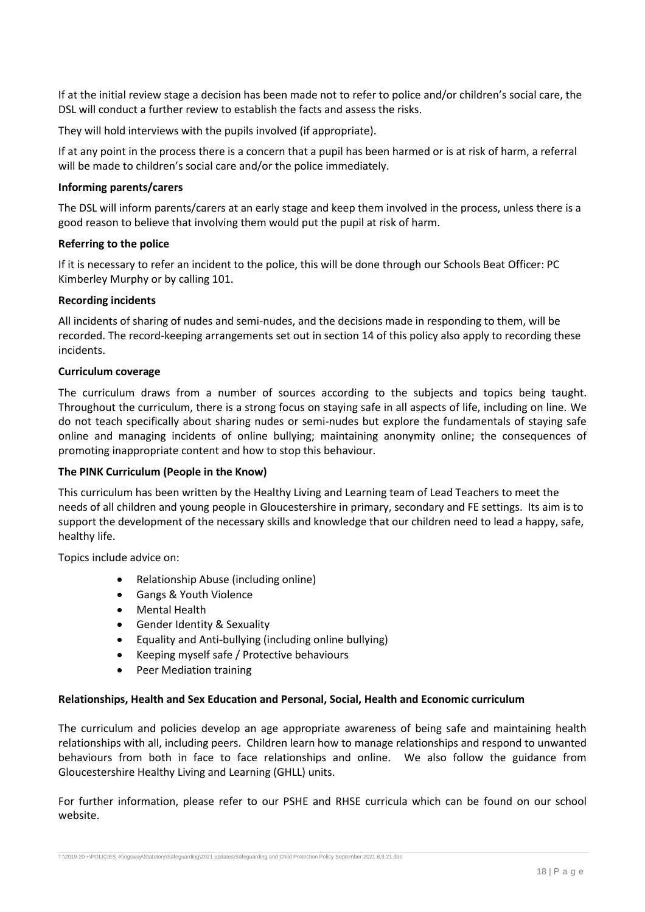If at the initial review stage a decision has been made not to refer to police and/or children's social care, the DSL will conduct a further review to establish the facts and assess the risks.

They will hold interviews with the pupils involved (if appropriate).

If at any point in the process there is a concern that a pupil has been harmed or is at risk of harm, a referral will be made to children's social care and/or the police immediately.

### **Informing parents/carers**

The DSL will inform parents/carers at an early stage and keep them involved in the process, unless there is a good reason to believe that involving them would put the pupil at risk of harm.

### **Referring to the police**

If it is necessary to refer an incident to the police, this will be done through our Schools Beat Officer: PC Kimberley Murphy or by calling 101.

### **Recording incidents**

All incidents of sharing of nudes and semi-nudes, and the decisions made in responding to them, will be recorded. The record-keeping arrangements set out in section 14 of this policy also apply to recording these incidents.

### **Curriculum coverage**

The curriculum draws from a number of sources according to the subjects and topics being taught. Throughout the curriculum, there is a strong focus on staying safe in all aspects of life, including on line. We do not teach specifically about sharing nudes or semi-nudes but explore the fundamentals of staying safe online and managing incidents of online bullying; maintaining anonymity online; the consequences of promoting inappropriate content and how to stop this behaviour.

### **The PINK Curriculum (People in the Know)**

This curriculum has been written by the Healthy Living and Learning team of Lead Teachers to meet the needs of all children and young people in Gloucestershire in primary, secondary and FE settings. Its aim is to support the development of the necessary skills and knowledge that our children need to lead a happy, safe, healthy life.

Topics include advice on:

- Relationship Abuse (including online)
- Gangs & Youth Violence
- Mental Health
- Gender Identity & Sexuality
- Equality and Anti-bullying (including online bullying)
- Keeping myself safe / Protective behaviours
- Peer Mediation training

### **Relationships, Health and Sex Education and Personal, Social, Health and Economic curriculum**

The curriculum and policies develop an age appropriate awareness of being safe and maintaining health relationships with all, including peers. Children learn how to manage relationships and respond to unwanted behaviours from both in face to face relationships and online. We also follow the guidance from Gloucestershire Healthy Living and Learning (GHLL) units.

For further information, please refer to our PSHE and RHSE curricula which can be found on our school website.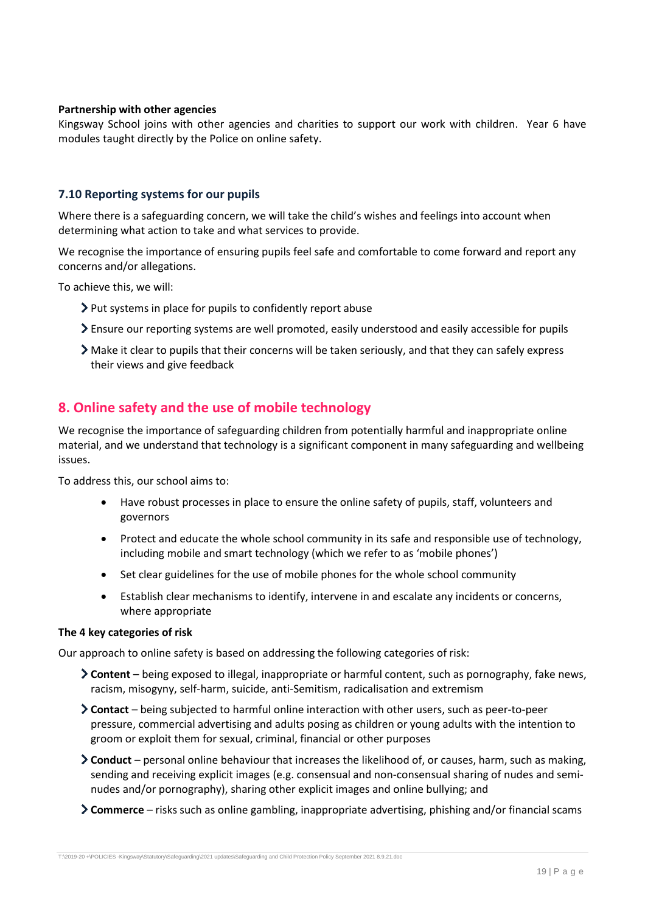#### **Partnership with other agencies**

Kingsway School joins with other agencies and charities to support our work with children. Year 6 have modules taught directly by the Police on online safety.

### **7.10 Reporting systems for our pupils**

Where there is a safeguarding concern, we will take the child's wishes and feelings into account when determining what action to take and what services to provide.

We recognise the importance of ensuring pupils feel safe and comfortable to come forward and report any concerns and/or allegations.

To achieve this, we will:

- Put systems in place for pupils to confidently report abuse
- Ensure our reporting systems are well promoted, easily understood and easily accessible for pupils
- Make it clear to pupils that their concerns will be taken seriously, and that they can safely express their views and give feedback

## <span id="page-18-0"></span>**8. Online safety and the use of mobile technology**

We recognise the importance of safeguarding children from potentially harmful and inappropriate online material, and we understand that technology is a significant component in many safeguarding and wellbeing issues.

To address this, our school aims to:

- Have robust processes in place to ensure the online safety of pupils, staff, volunteers and governors
- Protect and educate the whole school community in its safe and responsible use of technology, including mobile and smart technology (which we refer to as 'mobile phones')
- Set clear guidelines for the use of mobile phones for the whole school community
- Establish clear mechanisms to identify, intervene in and escalate any incidents or concerns, where appropriate

#### **The 4 key categories of risk**

Our approach to online safety is based on addressing the following categories of risk:

- **Content** being exposed to illegal, inappropriate or harmful content, such as pornography, fake news, racism, misogyny, self-harm, suicide, anti-Semitism, radicalisation and extremism
- **Contact** being subjected to harmful online interaction with other users, such as peer-to-peer pressure, commercial advertising and adults posing as children or young adults with the intention to groom or exploit them for sexual, criminal, financial or other purposes
- **Conduct** personal online behaviour that increases the likelihood of, or causes, harm, such as making, sending and receiving explicit images (e.g. consensual and non-consensual sharing of nudes and seminudes and/or pornography), sharing other explicit images and online bullying; and
- **Commerce** risks such as online gambling, inappropriate advertising, phishing and/or financial scams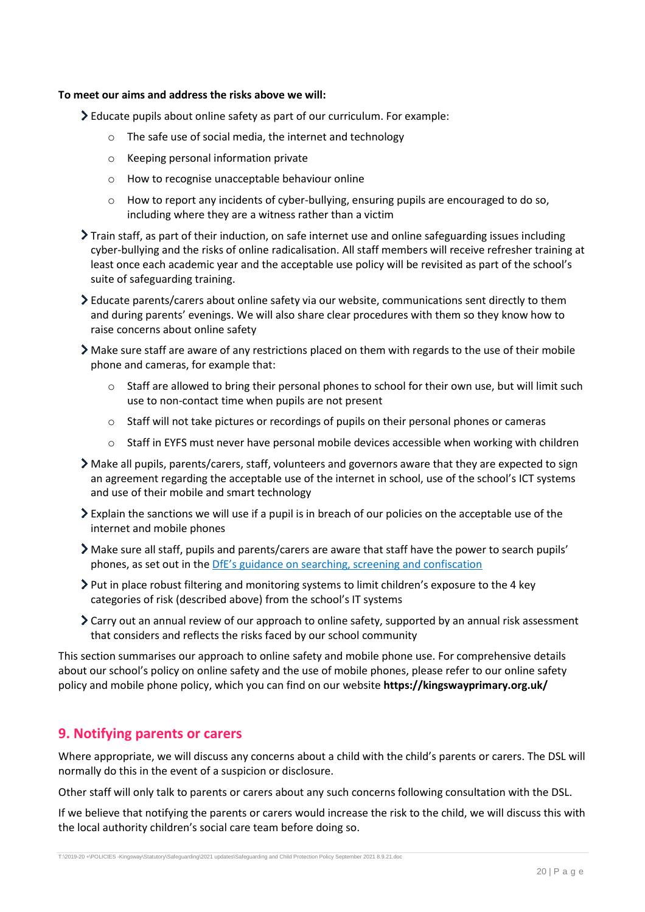## **To meet our aims and address the risks above we will:**

Educate pupils about online safety as part of our curriculum. For example:

- o The safe use of social media, the internet and technology
- o Keeping personal information private
- o How to recognise unacceptable behaviour online
- $\circ$  How to report any incidents of cyber-bullying, ensuring pupils are encouraged to do so, including where they are a witness rather than a victim
- $\sum$  Train staff, as part of their induction, on safe internet use and online safeguarding issues including cyber-bullying and the risks of online radicalisation. All staff members will receive refresher training at least once each academic year and the acceptable use policy will be revisited as part of the school's suite of safeguarding training.
- Educate parents/carers about online safety via our website, communications sent directly to them and during parents' evenings. We will also share clear procedures with them so they know how to raise concerns about online safety
- Make sure staff are aware of any restrictions placed on them with regards to the use of their mobile phone and cameras, for example that:
	- $\circ$  Staff are allowed to bring their personal phones to school for their own use, but will limit such use to non-contact time when pupils are not present
	- $\circ$  Staff will not take pictures or recordings of pupils on their personal phones or cameras
	- o Staff in EYFS must never have personal mobile devices accessible when working with children
- Make all pupils, parents/carers, staff, volunteers and governors aware that they are expected to sign an agreement regarding the acceptable use of the internet in school, use of the school's ICT systems and use of their mobile and smart technology
- Explain the sanctions we will use if a pupil is in breach of our policies on the acceptable use of the internet and mobile phones
- Make sure all staff, pupils and parents/carers are aware that staff have the power to search pupils' phones, as set out in the [DfE's guidance on searching, screening and confiscation](https://www.gov.uk/government/publications/searching-screening-and-confiscation)
- $\triangleright$  Put in place robust filtering and monitoring systems to limit children's exposure to the 4 key categories of risk (described above) from the school's IT systems
- Carry out an annual review of our approach to online safety, supported by an annual risk assessment that considers and reflects the risks faced by our school community

This section summarises our approach to online safety and mobile phone use. For comprehensive details about our school's policy on online safety and the use of mobile phones, please refer to our online safety policy and mobile phone policy, which you can find on our website **https://kingswayprimary.org.uk/**

## <span id="page-19-0"></span>**9. Notifying parents or carers**

Where appropriate, we will discuss any concerns about a child with the child's parents or carers. The DSL will normally do this in the event of a suspicion or disclosure.

Other staff will only talk to parents or carers about any such concerns following consultation with the DSL.

If we believe that notifying the parents or carers would increase the risk to the child, we will discuss this with the local authority children's social care team before doing so.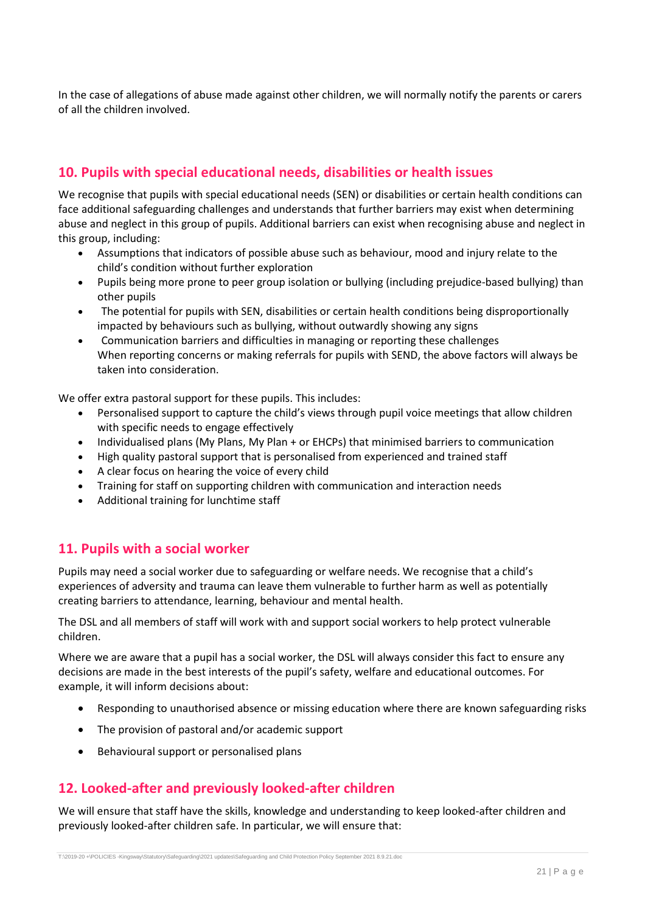In the case of allegations of abuse made against other children, we will normally notify the parents or carers of all the children involved.

## <span id="page-20-0"></span>**10. Pupils with special educational needs, disabilities or health issues**

We recognise that pupils with special educational needs (SEN) or disabilities or certain health conditions can face additional safeguarding challenges and understands that further barriers may exist when determining abuse and neglect in this group of pupils. Additional barriers can exist when recognising abuse and neglect in this group, including:

- Assumptions that indicators of possible abuse such as behaviour, mood and injury relate to the child's condition without further exploration
- Pupils being more prone to peer group isolation or bullying (including prejudice-based bullying) than other pupils
- The potential for pupils with SEN, disabilities or certain health conditions being disproportionally impacted by behaviours such as bullying, without outwardly showing any signs
- Communication barriers and difficulties in managing or reporting these challenges When reporting concerns or making referrals for pupils with SEND, the above factors will always be taken into consideration.

We offer extra pastoral support for these pupils. This includes:

- Personalised support to capture the child's views through pupil voice meetings that allow children with specific needs to engage effectively
- Individualised plans (My Plans, My Plan + or EHCPs) that minimised barriers to communication
- High quality pastoral support that is personalised from experienced and trained staff
- A clear focus on hearing the voice of every child
- Training for staff on supporting children with communication and interaction needs
- Additional training for lunchtime staff

## <span id="page-20-1"></span>**11. Pupils with a social worker**

Pupils may need a social worker due to safeguarding or welfare needs. We recognise that a child's experiences of adversity and trauma can leave them vulnerable to further harm as well as potentially creating barriers to attendance, learning, behaviour and mental health.

The DSL and all members of staff will work with and support social workers to help protect vulnerable children.

Where we are aware that a pupil has a social worker, the DSL will always consider this fact to ensure any decisions are made in the best interests of the pupil's safety, welfare and educational outcomes. For example, it will inform decisions about:

- Responding to unauthorised absence or missing education where there are known safeguarding risks
- The provision of pastoral and/or academic support
- Behavioural support or personalised plans

## <span id="page-20-2"></span>**12. Looked-after and previously looked-after children**

We will ensure that staff have the skills, knowledge and understanding to keep looked-after children and previously looked-after children safe. In particular, we will ensure that: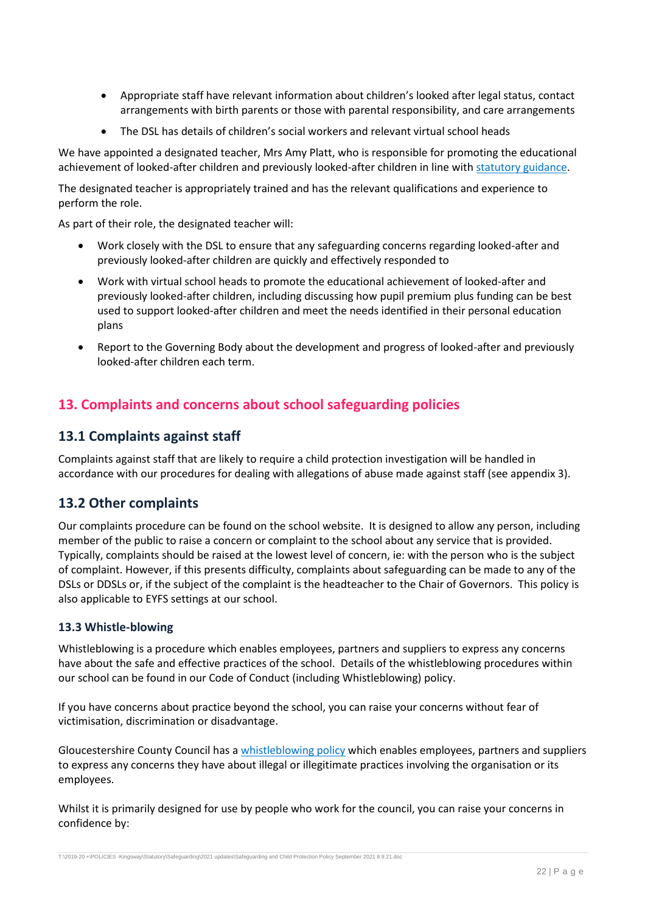- Appropriate staff have relevant information about children's looked after legal status, contact arrangements with birth parents or those with parental responsibility, and care arrangements
- The DSL has details of children's social workers and relevant virtual school heads

We have appointed a designated teacher, Mrs Amy Platt, who is responsible for promoting the educational achievement of looked-after children and previously looked-after children in line with [statutory guidance.](https://www.gov.uk/government/publications/designated-teacher-for-looked-after-children)

The designated teacher is appropriately trained and has the relevant qualifications and experience to perform the role.

As part of their role, the designated teacher will:

- Work closely with the DSL to ensure that any safeguarding concerns regarding looked-after and previously looked-after children are quickly and effectively responded to
- Work with virtual school heads to promote the educational achievement of looked-after and previously looked-after children, including discussing how pupil premium plus funding can be best used to support looked-after children and meet the needs identified in their personal education plans
- Report to the Governing Body about the development and progress of looked-after and previously looked-after children each term.

## <span id="page-21-0"></span>**13. Complaints and concerns about school safeguarding policies**

## **13.1 Complaints against staff**

Complaints against staff that are likely to require a child protection investigation will be handled in accordance with our procedures for dealing with allegations of abuse made against staff (see appendix 3).

## **13.2 Other complaints**

Our complaints procedure can be found on the school website. It is designed to allow any person, including member of the public to raise a concern or complaint to the school about any service that is provided. Typically, complaints should be raised at the lowest level of concern, ie: with the person who is the subject of complaint. However, if this presents difficulty, complaints about safeguarding can be made to any of the DSLs or DDSLs or, if the subject of the complaint is the headteacher to the Chair of Governors. This policy is also applicable to EYFS settings at our school.

## **13.3 Whistle-blowing**

Whistleblowing is a procedure which enables employees, partners and suppliers to express any concerns have about the safe and effective practices of the school. Details of the whistleblowing procedures within our school can be found in our Code of Conduct (including Whistleblowing) policy.

If you have concerns about practice beyond the school, you can raise your concerns without fear of victimisation, discrimination or disadvantage.

Gloucestershire County Council has a [whistleblowing policy](https://www.gloucestershire.gov.uk/media/1518445/whistleblowing-june-2019.pdf) which enables employees, partners and suppliers to express any concerns they have about illegal or illegitimate practices involving the organisation or its employees.

Whilst it is primarily designed for use by people who work for the council, you can raise your concerns in confidence by: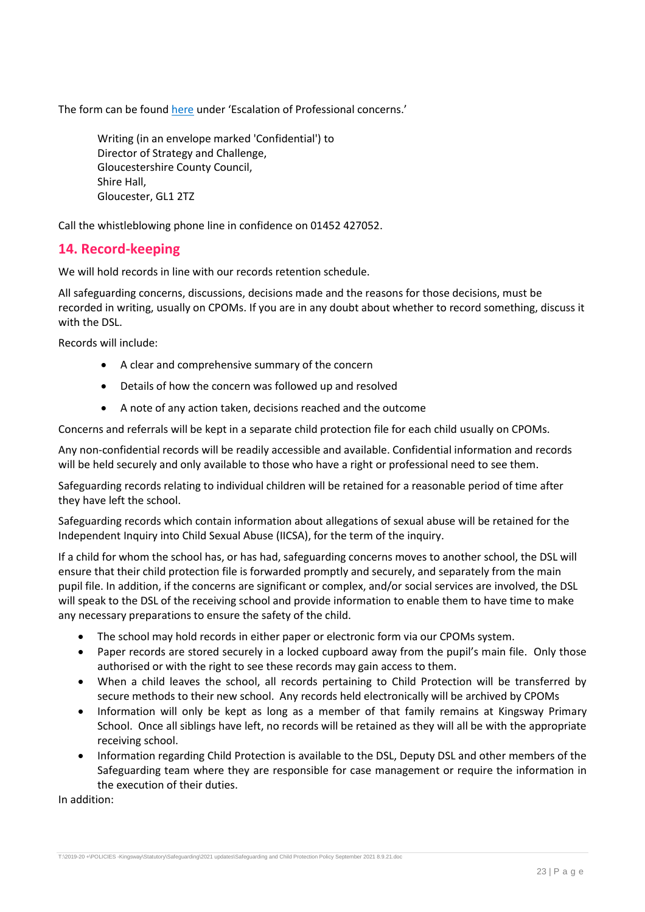The form can be found [here](https://www.gscb.org.uk/i-work-with-children-young-people-and-parents/guidance-for-working-with-children-and-young-people/) under 'Escalation of Professional concerns.'

Writing (in an envelope marked 'Confidential') to Director of Strategy and Challenge, Gloucestershire County Council, Shire Hall, Gloucester, GL1 2TZ

Call the whistleblowing phone line in confidence on 01452 427052.

## <span id="page-22-0"></span>**14. Record-keeping**

We will hold records in line with our records retention schedule.

All safeguarding concerns, discussions, decisions made and the reasons for those decisions, must be recorded in writing, usually on CPOMs. If you are in any doubt about whether to record something, discuss it with the DSL.

Records will include:

- A clear and comprehensive summary of the concern
- Details of how the concern was followed up and resolved
- A note of any action taken, decisions reached and the outcome

Concerns and referrals will be kept in a separate child protection file for each child usually on CPOMs.

Any non-confidential records will be readily accessible and available. Confidential information and records will be held securely and only available to those who have a right or professional need to see them.

Safeguarding records relating to individual children will be retained for a reasonable period of time after they have left the school.

Safeguarding records which contain information about allegations of sexual abuse will be retained for the Independent Inquiry into Child Sexual Abuse (IICSA), for the term of the inquiry.

If a child for whom the school has, or has had, safeguarding concerns moves to another school, the DSL will ensure that their child protection file is forwarded promptly and securely, and separately from the main pupil file. In addition, if the concerns are significant or complex, and/or social services are involved, the DSL will speak to the DSL of the receiving school and provide information to enable them to have time to make any necessary preparations to ensure the safety of the child.

- The school may hold records in either paper or electronic form via our CPOMs system.
- Paper records are stored securely in a locked cupboard away from the pupil's main file. Only those authorised or with the right to see these records may gain access to them.
- When a child leaves the school, all records pertaining to Child Protection will be transferred by secure methods to their new school. Any records held electronically will be archived by CPOMs
- Information will only be kept as long as a member of that family remains at Kingsway Primary School. Once all siblings have left, no records will be retained as they will all be with the appropriate receiving school.
- Information regarding Child Protection is available to the DSL, Deputy DSL and other members of the Safeguarding team where they are responsible for case management or require the information in the execution of their duties.

In addition: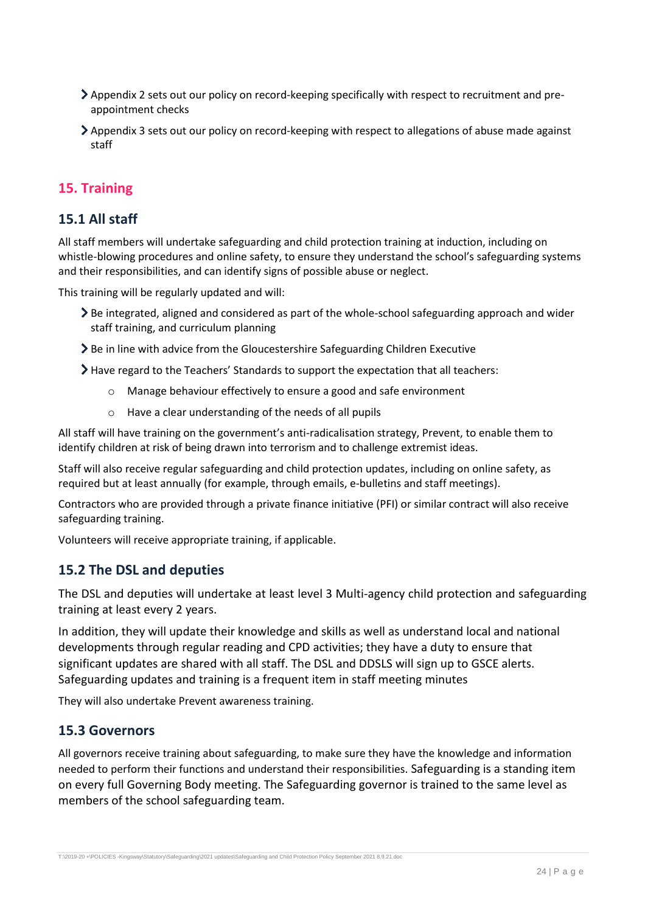- Appendix 2 sets out our policy on record-keeping specifically with respect to recruitment and preappointment checks
- Appendix 3 sets out our policy on record-keeping with respect to allegations of abuse made against staff

## <span id="page-23-0"></span>**15. Training**

## **15.1 All staff**

All staff members will undertake safeguarding and child protection training at induction, including on whistle-blowing procedures and online safety, to ensure they understand the school's safeguarding systems and their responsibilities, and can identify signs of possible abuse or neglect.

This training will be regularly updated and will:

- Be integrated, aligned and considered as part of the whole-school safeguarding approach and wider staff training, and curriculum planning
- > Be in line with advice from the Gloucestershire Safeguarding Children Executive

Have regard to the Teachers' Standards to support the expectation that all teachers:

- o Manage behaviour effectively to ensure a good and safe environment
- o Have a clear understanding of the needs of all pupils

All staff will have training on the government's anti-radicalisation strategy, Prevent, to enable them to identify children at risk of being drawn into terrorism and to challenge extremist ideas.

Staff will also receive regular safeguarding and child protection updates, including on online safety, as required but at least annually (for example, through emails, e-bulletins and staff meetings).

Contractors who are provided through a private finance initiative (PFI) or similar contract will also receive safeguarding training.

Volunteers will receive appropriate training, if applicable.

## **15.2 The DSL and deputies**

The DSL and deputies will undertake at least level 3 Multi-agency child protection and safeguarding training at least every 2 years.

In addition, they will update their knowledge and skills as well as understand local and national developments through regular reading and CPD activities; they have a duty to ensure that significant updates are shared with all staff. The DSL and DDSLS will sign up to GSCE alerts. Safeguarding updates and training is a frequent item in staff meeting minutes

They will also undertake Prevent awareness training.

## **15.3 Governors**

All governors receive training about safeguarding, to make sure they have the knowledge and information needed to perform their functions and understand their responsibilities. Safeguarding is a standing item on every full Governing Body meeting. The Safeguarding governor is trained to the same level as members of the school safeguarding team.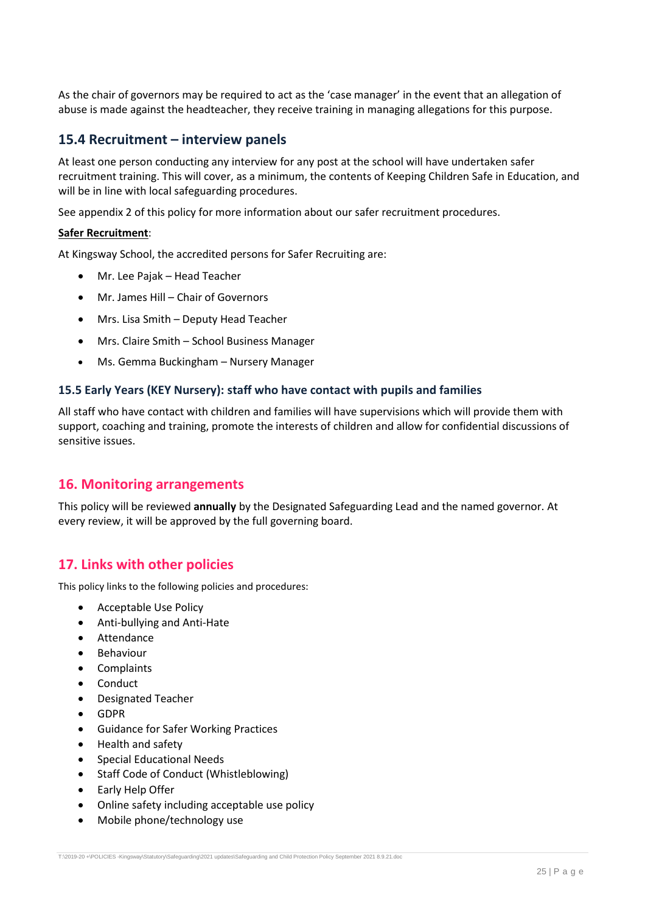As the chair of governors may be required to act as the 'case manager' in the event that an allegation of abuse is made against the headteacher, they receive training in managing allegations for this purpose.

## **15.4 Recruitment – interview panels**

At least one person conducting any interview for any post at the school will have undertaken safer recruitment training. This will cover, as a minimum, the contents of Keeping Children Safe in Education, and will be in line with local safeguarding procedures.

See appendix 2 of this policy for more information about our safer recruitment procedures.

### **Safer Recruitment**:

At Kingsway School, the accredited persons for Safer Recruiting are:

- Mr. Lee Pajak Head Teacher
- Mr. James Hill Chair of Governors
- Mrs. Lisa Smith Deputy Head Teacher
- Mrs. Claire Smith School Business Manager
- Ms. Gemma Buckingham Nursery Manager

### **15.5 Early Years (KEY Nursery): staff who have contact with pupils and families**

All staff who have contact with children and families will have supervisions which will provide them with support, coaching and training, promote the interests of children and allow for confidential discussions of sensitive issues.

## <span id="page-24-0"></span>**16. Monitoring arrangements**

This policy will be reviewed **annually** by the Designated Safeguarding Lead and the named governor. At every review, it will be approved by the full governing board.

## <span id="page-24-1"></span>**17. Links with other policies**

This policy links to the following policies and procedures:

- Acceptable Use Policy
- Anti-bullying and Anti-Hate
- Attendance
- Behaviour
- Complaints
- Conduct
- Designated Teacher
- GDPR
- Guidance for Safer Working Practices
- Health and safety
- Special Educational Needs
- Staff Code of Conduct (Whistleblowing)
- Early Help Offer
- Online safety including acceptable use policy
- Mobile phone/technology use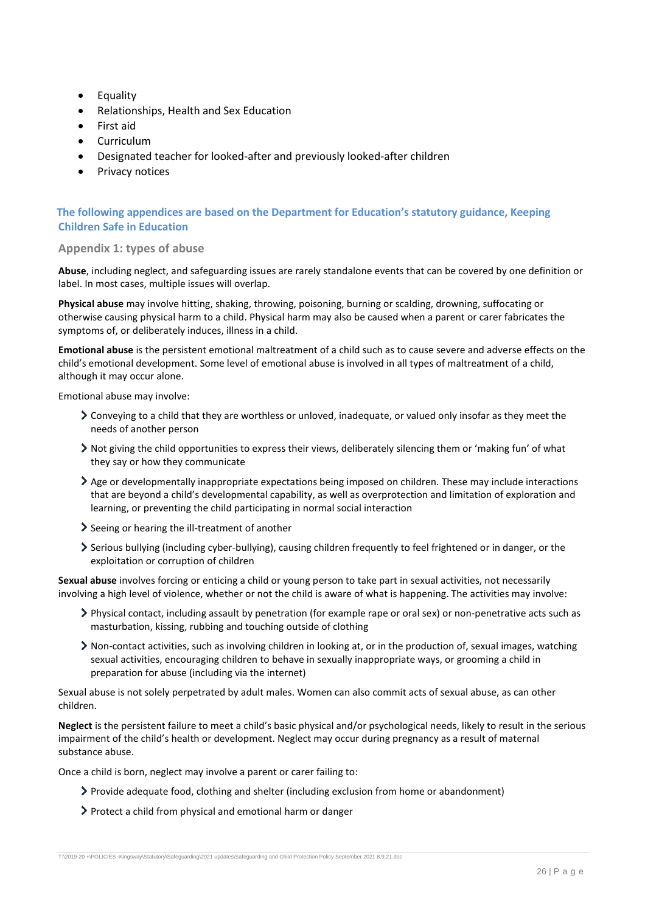- **•** Equality
- Relationships, Health and Sex Education
- First aid
- Curriculum
- Designated teacher for looked-after and previously looked-after children
- Privacy notices

### **The following appendices are based on the Department for Education's statutory guidance, Keeping Children Safe in Education**

#### <span id="page-25-0"></span>**Appendix 1: types of abuse**

**Abuse**, including neglect, and safeguarding issues are rarely standalone events that can be covered by one definition or label. In most cases, multiple issues will overlap.

**Physical abuse** may involve hitting, shaking, throwing, poisoning, burning or scalding, drowning, suffocating or otherwise causing physical harm to a child. Physical harm may also be caused when a parent or carer fabricates the symptoms of, or deliberately induces, illness in a child.

**Emotional abuse** is the persistent emotional maltreatment of a child such as to cause severe and adverse effects on the child's emotional development. Some level of emotional abuse is involved in all types of maltreatment of a child, although it may occur alone.

Emotional abuse may involve:

- Conveying to a child that they are worthless or unloved, inadequate, or valued only insofar as they meet the needs of another person
- Not giving the child opportunities to express their views, deliberately silencing them or 'making fun' of what they say or how they communicate
- Age or developmentally inappropriate expectations being imposed on children. These may include interactions that are beyond a child's developmental capability, as well as overprotection and limitation of exploration and learning, or preventing the child participating in normal social interaction
- Seeing or hearing the ill-treatment of another
- Serious bullying (including cyber-bullying), causing children frequently to feel frightened or in danger, or the exploitation or corruption of children

**Sexual abuse** involves forcing or enticing a child or young person to take part in sexual activities, not necessarily involving a high level of violence, whether or not the child is aware of what is happening. The activities may involve:

- Physical contact, including assault by penetration (for example rape or oral sex) or non-penetrative acts such as masturbation, kissing, rubbing and touching outside of clothing
- Non-contact activities, such as involving children in looking at, or in the production of, sexual images, watching sexual activities, encouraging children to behave in sexually inappropriate ways, or grooming a child in preparation for abuse (including via the internet)

Sexual abuse is not solely perpetrated by adult males. Women can also commit acts of sexual abuse, as can other children.

**Neglect** is the persistent failure to meet a child's basic physical and/or psychological needs, likely to result in the serious impairment of the child's health or development. Neglect may occur during pregnancy as a result of maternal substance abuse.

Once a child is born, neglect may involve a parent or carer failing to:

- Provide adequate food, clothing and shelter (including exclusion from home or abandonment)
- Protect a child from physical and emotional harm or danger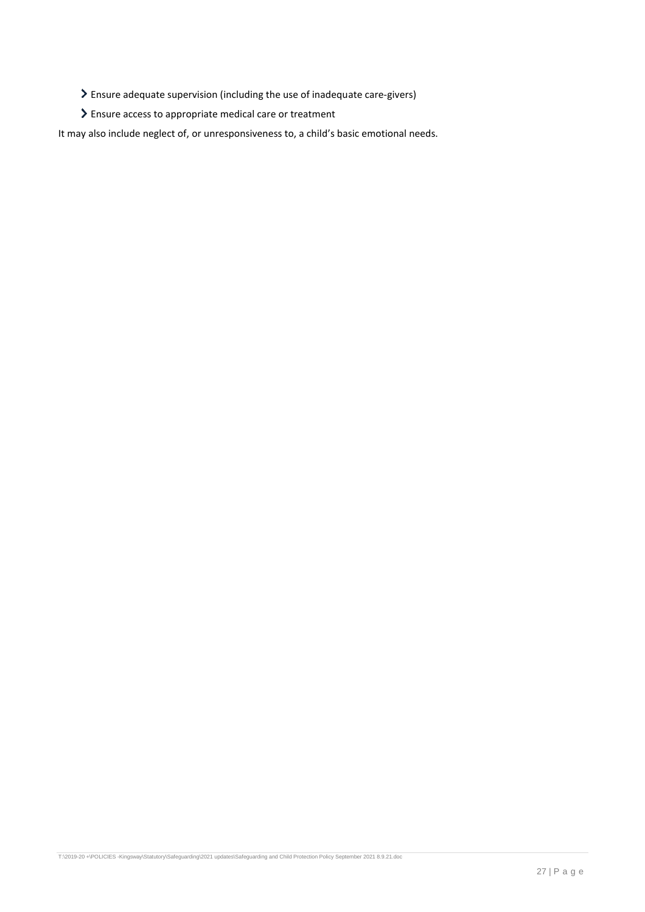- Ensure adequate supervision (including the use of inadequate care-givers)
- Ensure access to appropriate medical care or treatment

It may also include neglect of, or unresponsiveness to, a child's basic emotional needs.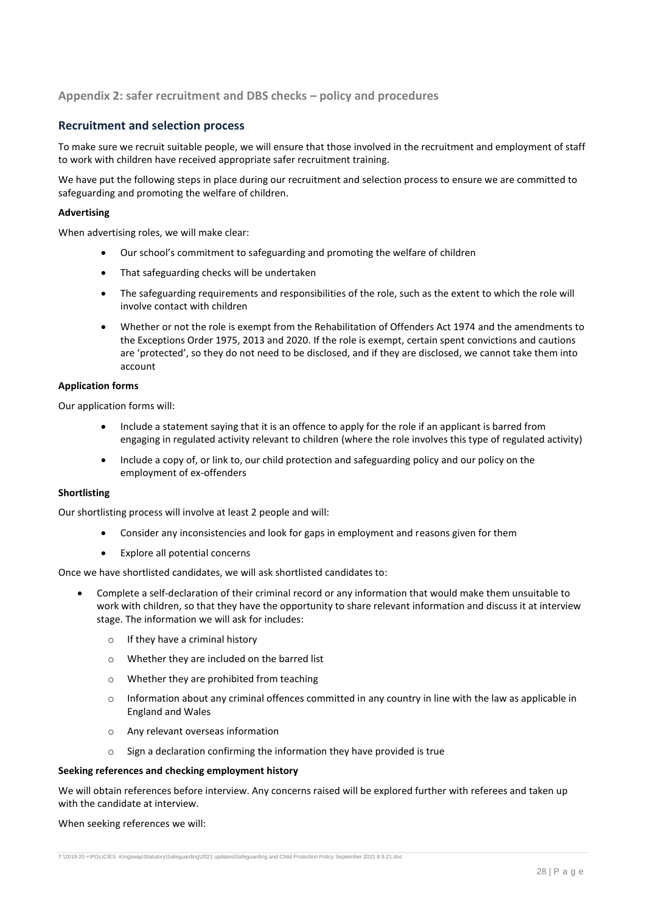### <span id="page-27-0"></span>**Appendix 2: safer recruitment and DBS checks – policy and procedures**

### **Recruitment and selection process**

To make sure we recruit suitable people, we will ensure that those involved in the recruitment and employment of staff to work with children have received appropriate safer recruitment training.

We have put the following steps in place during our recruitment and selection process to ensure we are committed to safeguarding and promoting the welfare of children.

#### **Advertising**

When advertising roles, we will make clear:

- Our school's commitment to safeguarding and promoting the welfare of children
- That safeguarding checks will be undertaken
- The safeguarding requirements and responsibilities of the role, such as the extent to which the role will involve contact with children
- Whether or not the role is exempt from the Rehabilitation of Offenders Act 1974 and the amendments to the Exceptions Order 1975, 2013 and 2020. If the role is exempt, certain spent convictions and cautions are 'protected', so they do not need to be disclosed, and if they are disclosed, we cannot take them into account

#### **Application forms**

Our application forms will:

- Include a statement saying that it is an offence to apply for the role if an applicant is barred from engaging in regulated activity relevant to children (where the role involves this type of regulated activity)
- Include a copy of, or link to, our child protection and safeguarding policy and our policy on the employment of ex-offenders

#### **Shortlisting**

Our shortlisting process will involve at least 2 people and will:

- Consider any inconsistencies and look for gaps in employment and reasons given for them
- Explore all potential concerns

Once we have shortlisted candidates, we will ask shortlisted candidates to:

- Complete a self-declaration of their criminal record or any information that would make them unsuitable to work with children, so that they have the opportunity to share relevant information and discuss it at interview stage. The information we will ask for includes:
	- o If they have a criminal history
	- o Whether they are included on the barred list
	- o Whether they are prohibited from teaching
	- $\circ$  Information about any criminal offences committed in any country in line with the law as applicable in England and Wales
	- o Any relevant overseas information
	- o Sign a declaration confirming the information they have provided is true

#### **Seeking references and checking employment history**

We will obtain references before interview. Any concerns raised will be explored further with referees and taken up with the candidate at interview.

When seeking references we will: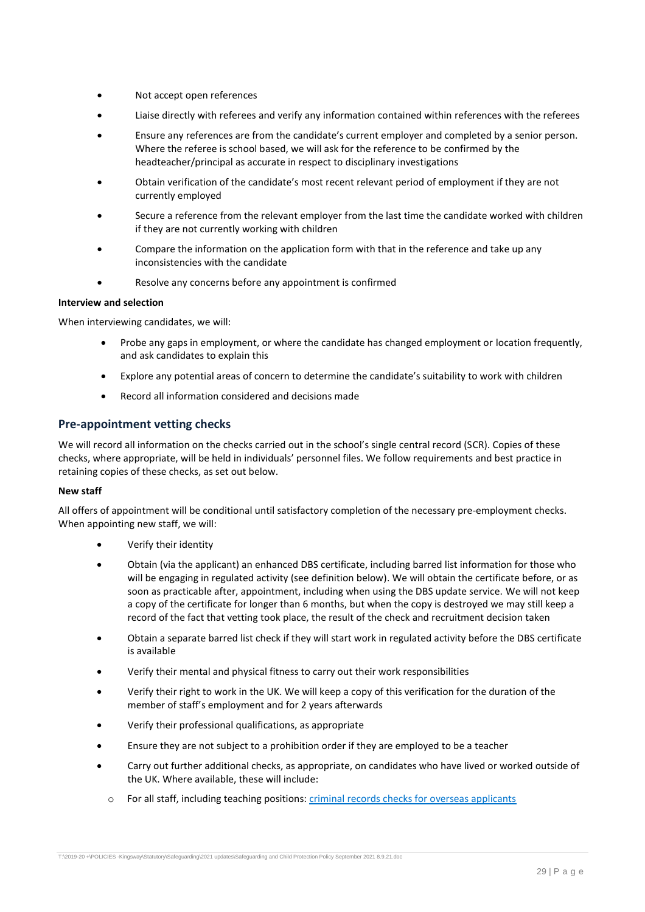- Not accept open references
- Liaise directly with referees and verify any information contained within references with the referees
- Ensure any references are from the candidate's current employer and completed by a senior person. Where the referee is school based, we will ask for the reference to be confirmed by the headteacher/principal as accurate in respect to disciplinary investigations
- Obtain verification of the candidate's most recent relevant period of employment if they are not currently employed
- Secure a reference from the relevant employer from the last time the candidate worked with children if they are not currently working with children
- Compare the information on the application form with that in the reference and take up any inconsistencies with the candidate
- Resolve any concerns before any appointment is confirmed

#### **Interview and selection**

When interviewing candidates, we will:

- Probe any gaps in employment, or where the candidate has changed employment or location frequently, and ask candidates to explain this
- Explore any potential areas of concern to determine the candidate's suitability to work with children
- Record all information considered and decisions made

### **Pre-appointment vetting checks**

We will record all information on the checks carried out in the school's single central record (SCR). Copies of these checks, where appropriate, will be held in individuals' personnel files. We follow requirements and best practice in retaining copies of these checks, as set out below.

#### **New staff**

All offers of appointment will be conditional until satisfactory completion of the necessary pre-employment checks. When appointing new staff, we will:

- Verify their identity
- Obtain (via the applicant) an enhanced DBS certificate, including barred list information for those who will be engaging in regulated activity (see definition below). We will obtain the certificate before, or as soon as practicable after, appointment, including when using the DBS update service. We will not keep a copy of the certificate for longer than 6 months, but when the copy is destroyed we may still keep a record of the fact that vetting took place, the result of the check and recruitment decision taken
- Obtain a separate barred list check if they will start work in regulated activity before the DBS certificate is available
- Verify their mental and physical fitness to carry out their work responsibilities
- Verify their right to work in the UK. We will keep a copy of this verification for the duration of the member of staff's employment and for 2 years afterwards
- Verify their professional qualifications, as appropriate
- Ensure they are not subject to a prohibition order if they are employed to be a teacher
- Carry out further additional checks, as appropriate, on candidates who have lived or worked outside of the UK. Where available, these will include:
	- o For all staff, including teaching positions: [criminal records checks for overseas applicants](https://www.gov.uk/government/publications/criminal-records-checks-for-overseas-applicants)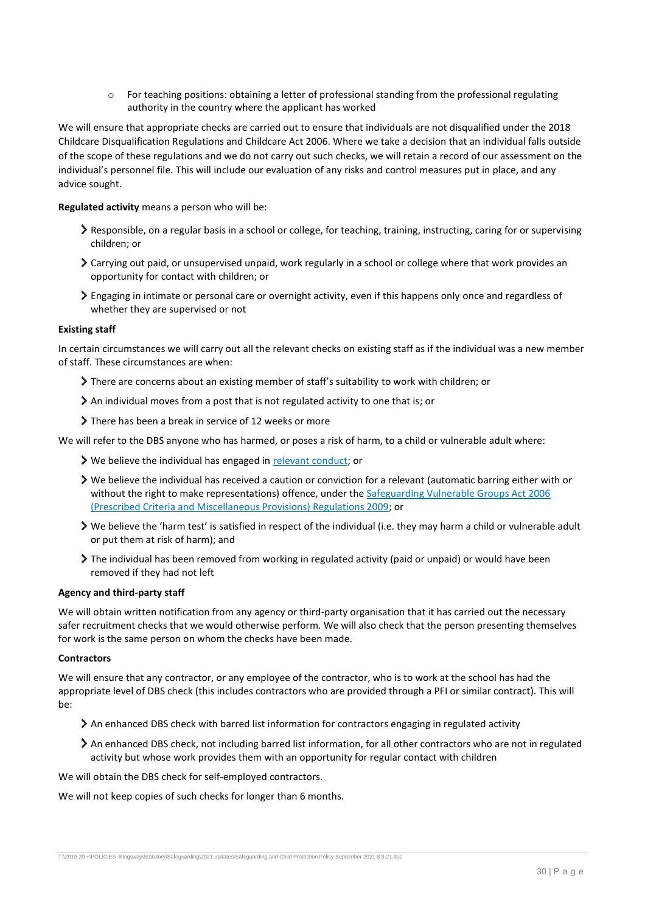$\circ$  For teaching positions: obtaining a letter of professional standing from the professional regulating authority in the country where the applicant has worked

We will ensure that appropriate checks are carried out to ensure that individuals are not disqualified under the 2018 Childcare Disqualification Regulations and Childcare Act 2006. Where we take a decision that an individual falls outside of the scope of these regulations and we do not carry out such checks, we will retain a record of our assessment on the individual's personnel file. This will include our evaluation of any risks and control measures put in place, and any advice sought.

**Regulated activity** means a person who will be:

- Responsible, on a regular basis in a school or college, for teaching, training, instructing, caring for or supervising children; or
- Carrying out paid, or unsupervised unpaid, work regularly in a school or college where that work provides an opportunity for contact with children; or
- Engaging in intimate or personal care or overnight activity, even if this happens only once and regardless of whether they are supervised or not

#### **Existing staff**

In certain circumstances we will carry out all the relevant checks on existing staff as if the individual was a new member of staff. These circumstances are when:

- There are concerns about an existing member of staff's suitability to work with children; or
- An individual moves from a post that is not regulated activity to one that is; or
- There has been a break in service of 12 weeks or more

We will refer to the DBS anyone who has harmed, or poses a risk of harm, to a child or vulnerable adult where:

- **>** We believe the individual has engaged in [relevant conduct;](https://www.gov.uk/guidance/making-barring-referrals-to-the-dbs#relevant-conduct-in-relation-to-children) or
- $\triangleright$  We believe the individual has received a caution or conviction for a relevant (automatic barring either with or without the right to make representations) offence, under the Safeguarding [Vulnerable Groups Act 2006](http://www.legislation.gov.uk/uksi/2009/37/contents/made)  [\(Prescribed Criteria and Miscellaneous Provisions\) Regulations 2009;](http://www.legislation.gov.uk/uksi/2009/37/contents/made) or
- We believe the 'harm test' is satisfied in respect of the individual (i.e. they may harm a child or vulnerable adult or put them at risk of harm); and
- The individual has been removed from working in regulated activity (paid or unpaid) or would have been removed if they had not left

#### **Agency and third-party staff**

We will obtain written notification from any agency or third-party organisation that it has carried out the necessary safer recruitment checks that we would otherwise perform. We will also check that the person presenting themselves for work is the same person on whom the checks have been made.

#### **Contractors**

We will ensure that any contractor, or any employee of the contractor, who is to work at the school has had the appropriate level of DBS check (this includes contractors who are provided through a PFI or similar contract). This will be:

- An enhanced DBS check with barred list information for contractors engaging in regulated activity
- An enhanced DBS check, not including barred list information, for all other contractors who are not in regulated activity but whose work provides them with an opportunity for regular contact with children

We will obtain the DBS check for self-employed contractors.

We will not keep copies of such checks for longer than 6 months.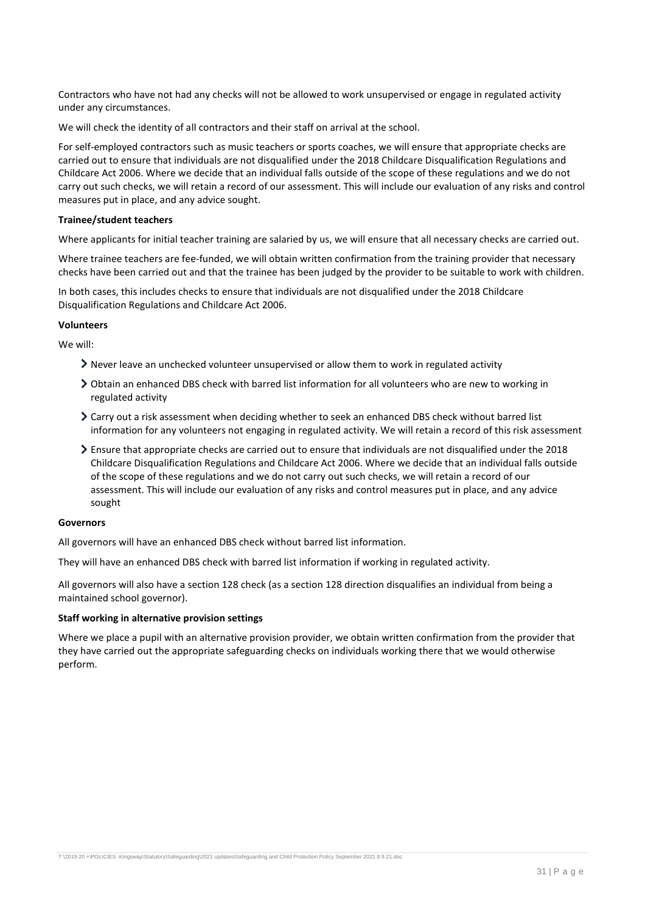Contractors who have not had any checks will not be allowed to work unsupervised or engage in regulated activity under any circumstances.

We will check the identity of all contractors and their staff on arrival at the school.

For self-employed contractors such as music teachers or sports coaches, we will ensure that appropriate checks are carried out to ensure that individuals are not disqualified under the 2018 Childcare Disqualification Regulations and Childcare Act 2006. Where we decide that an individual falls outside of the scope of these regulations and we do not carry out such checks, we will retain a record of our assessment. This will include our evaluation of any risks and control measures put in place, and any advice sought.

#### **Trainee/student teachers**

Where applicants for initial teacher training are salaried by us, we will ensure that all necessary checks are carried out.

Where trainee teachers are fee-funded, we will obtain written confirmation from the training provider that necessary checks have been carried out and that the trainee has been judged by the provider to be suitable to work with children.

In both cases, this includes checks to ensure that individuals are not disqualified under the 2018 Childcare Disqualification Regulations and Childcare Act 2006.

#### **Volunteers**

We will:

- $\sum$  Never leave an unchecked volunteer unsupervised or allow them to work in regulated activity
- Obtain an enhanced DBS check with barred list information for all volunteers who are new to working in regulated activity
- Carry out a risk assessment when deciding whether to seek an enhanced DBS check without barred list information for any volunteers not engaging in regulated activity. We will retain a record of this risk assessment
- Ensure that appropriate checks are carried out to ensure that individuals are not disqualified under the 2018 Childcare Disqualification Regulations and Childcare Act 2006. Where we decide that an individual falls outside of the scope of these regulations and we do not carry out such checks, we will retain a record of our assessment. This will include our evaluation of any risks and control measures put in place, and any advice sought

#### **Governors**

All governors will have an enhanced DBS check without barred list information.

They will have an enhanced DBS check with barred list information if working in regulated activity.

All governors will also have a section 128 check (as a section 128 direction disqualifies an individual from being a maintained school governor).

#### **Staff working in alternative provision settings**

<span id="page-30-0"></span>Where we place a pupil with an alternative provision provider, we obtain written confirmation from the provider that they have carried out the appropriate safeguarding checks on individuals working there that we would otherwise perform.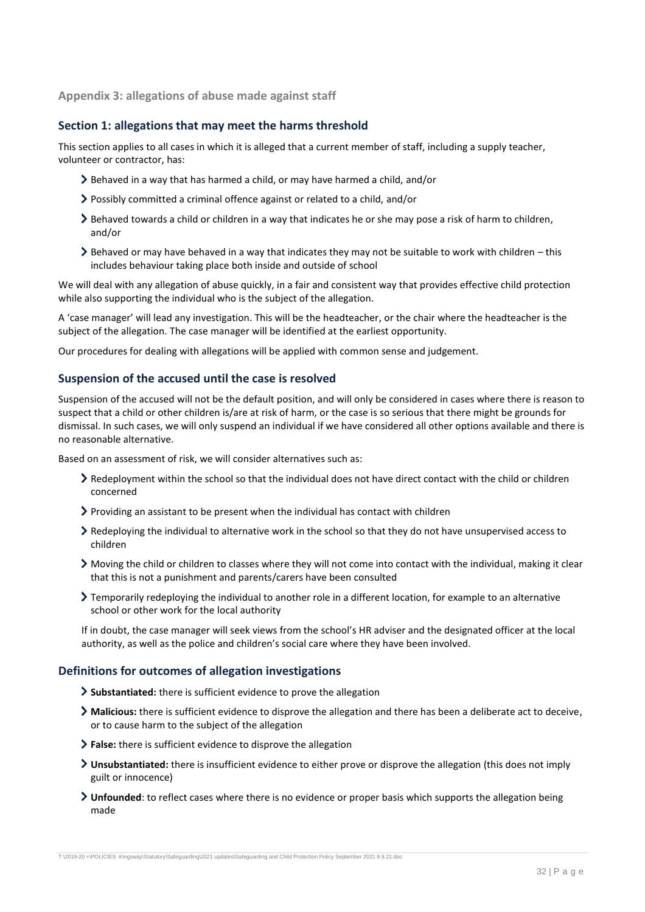**Appendix 3: allegations of abuse made against staff**

### **Section 1: allegations that may meet the harms threshold**

This section applies to all cases in which it is alleged that a current member of staff, including a supply teacher, volunteer or contractor, has:

- Behaved in a way that has harmed a child, or may have harmed a child, and/or
- Possibly committed a criminal offence against or related to a child, and/or
- Behaved towards a child or children in a way that indicates he or she may pose a risk of harm to children, and/or
- Behaved or may have behaved in a way that indicates they may not be suitable to work with children this includes behaviour taking place both inside and outside of school

We will deal with any allegation of abuse quickly, in a fair and consistent way that provides effective child protection while also supporting the individual who is the subject of the allegation.

A 'case manager' will lead any investigation. This will be the headteacher, or the chair where the headteacher is the subject of the allegation. The case manager will be identified at the earliest opportunity.

Our procedures for dealing with allegations will be applied with common sense and judgement.

#### **Suspension of the accused until the case is resolved**

Suspension of the accused will not be the default position, and will only be considered in cases where there is reason to suspect that a child or other children is/are at risk of harm, or the case is so serious that there might be grounds for dismissal. In such cases, we will only suspend an individual if we have considered all other options available and there is no reasonable alternative.

Based on an assessment of risk, we will consider alternatives such as:

- Redeployment within the school so that the individual does not have direct contact with the child or children concerned
- $\triangleright$  Providing an assistant to be present when the individual has contact with children
- Redeploying the individual to alternative work in the school so that they do not have unsupervised access to children
- Moving the child or children to classes where they will not come into contact with the individual, making it clear that this is not a punishment and parents/carers have been consulted
- Temporarily redeploying the individual to another role in a different location, for example to an alternative school or other work for the local authority

If in doubt, the case manager will seek views from the school's HR adviser and the designated officer at the local authority, as well as the police and children's social care where they have been involved.

### **Definitions for outcomes of allegation investigations**

- **Substantiated:** there is sufficient evidence to prove the allegation
- **Malicious:** there is sufficient evidence to disprove the allegation and there has been a deliberate act to deceive, or to cause harm to the subject of the allegation
- **False:** there is sufficient evidence to disprove the allegation
- **Unsubstantiated:** there is insufficient evidence to either prove or disprove the allegation (this does not imply guilt or innocence)
- **Unfounded**: to reflect cases where there is no evidence or proper basis which supports the allegation being made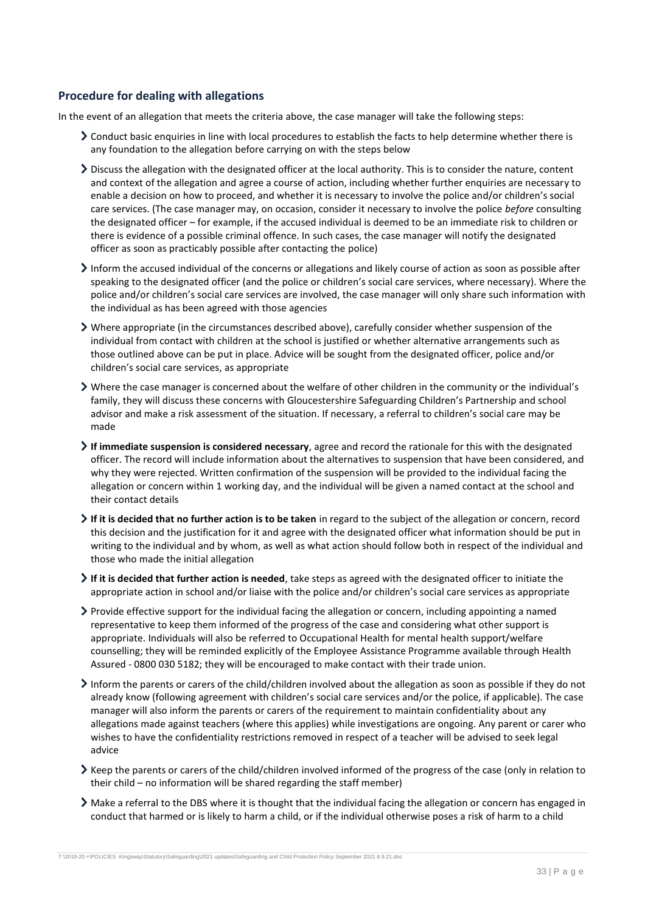### **Procedure for dealing with allegations**

In the event of an allegation that meets the criteria above, the case manager will take the following steps:

- Conduct basic enquiries in line with local procedures to establish the facts to help determine whether there is any foundation to the allegation before carrying on with the steps below
- Discuss the allegation with the designated officer at the local authority. This is to consider the nature, content and context of the allegation and agree a course of action, including whether further enquiries are necessary to enable a decision on how to proceed, and whether it is necessary to involve the police and/or children's social care services. (The case manager may, on occasion, consider it necessary to involve the police *before* consulting the designated officer – for example, if the accused individual is deemed to be an immediate risk to children or there is evidence of a possible criminal offence. In such cases, the case manager will notify the designated officer as soon as practicably possible after contacting the police)
- Inform the accused individual of the concerns or allegations and likely course of action as soon as possible after speaking to the designated officer (and the police or children's social care services, where necessary). Where the police and/or children's social care services are involved, the case manager will only share such information with the individual as has been agreed with those agencies
- Where appropriate (in the circumstances described above), carefully consider whether suspension of the individual from contact with children at the school is justified or whether alternative arrangements such as those outlined above can be put in place. Advice will be sought from the designated officer, police and/or children's social care services, as appropriate
- Where the case manager is concerned about the welfare of other children in the community or the individual's family, they will discuss these concerns with Gloucestershire Safeguarding Children's Partnership and school advisor and make a risk assessment of the situation. If necessary, a referral to children's social care may be made
- **If immediate suspension is considered necessary**, agree and record the rationale for this with the designated officer. The record will include information about the alternatives to suspension that have been considered, and why they were rejected. Written confirmation of the suspension will be provided to the individual facing the allegation or concern within 1 working day, and the individual will be given a named contact at the school and their contact details
- **If it is decided that no further action is to be taken** in regard to the subject of the allegation or concern, record this decision and the justification for it and agree with the designated officer what information should be put in writing to the individual and by whom, as well as what action should follow both in respect of the individual and those who made the initial allegation
- **If it is decided that further action is needed**, take steps as agreed with the designated officer to initiate the appropriate action in school and/or liaise with the police and/or children's social care services as appropriate
- $\triangleright$  Provide effective support for the individual facing the allegation or concern, including appointing a named representative to keep them informed of the progress of the case and considering what other support is appropriate. Individuals will also be referred to Occupational Health for mental health support/welfare counselling; they will be reminded explicitly of the Employee Assistance Programme available through Health Assured - 0800 030 5182; they will be encouraged to make contact with their trade union.
- Inform the parents or carers of the child/children involved about the allegation as soon as possible if they do not already know (following agreement with children's social care services and/or the police, if applicable). The case manager will also inform the parents or carers of the requirement to maintain confidentiality about any allegations made against teachers (where this applies) while investigations are ongoing. Any parent or carer who wishes to have the confidentiality restrictions removed in respect of a teacher will be advised to seek legal advice
- Keep the parents or carers of the child/children involved informed of the progress of the case (only in relation to their child – no information will be shared regarding the staff member)
- Make a referral to the DBS where it is thought that the individual facing the allegation or concern has engaged in conduct that harmed or is likely to harm a child, or if the individual otherwise poses a risk of harm to a child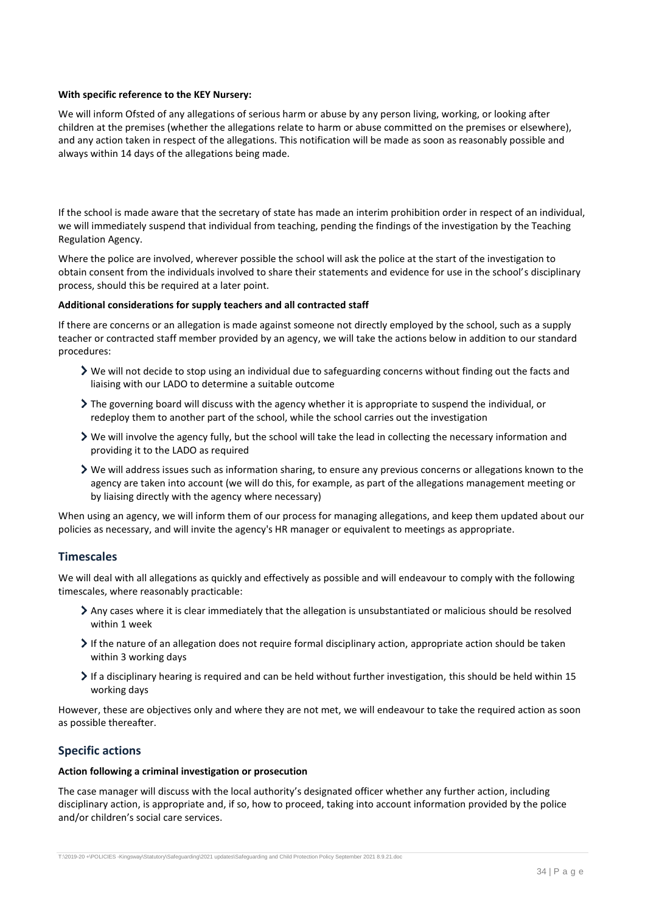#### **With specific reference to the KEY Nursery:**

We will inform Ofsted of any allegations of serious harm or abuse by any person living, working, or looking after children at the premises (whether the allegations relate to harm or abuse committed on the premises or elsewhere), and any action taken in respect of the allegations. This notification will be made as soon as reasonably possible and always within 14 days of the allegations being made.

If the school is made aware that the secretary of state has made an interim prohibition order in respect of an individual, we will immediately suspend that individual from teaching, pending the findings of the investigation by the Teaching Regulation Agency.

Where the police are involved, wherever possible the school will ask the police at the start of the investigation to obtain consent from the individuals involved to share their statements and evidence for use in the school's disciplinary process, should this be required at a later point.

#### **Additional considerations for supply teachers and all contracted staff**

If there are concerns or an allegation is made against someone not directly employed by the school, such as a supply teacher or contracted staff member provided by an agency, we will take the actions below in addition to our standard procedures:

- $\triangleright$  We will not decide to stop using an individual due to safeguarding concerns without finding out the facts and liaising with our LADO to determine a suitable outcome
- The governing board will discuss with the agency whether it is appropriate to suspend the individual, or redeploy them to another part of the school, while the school carries out the investigation
- $\triangleright$  We will involve the agency fully, but the school will take the lead in collecting the necessary information and providing it to the LADO as required
- We will address issues such as information sharing, to ensure any previous concerns or allegations known to the agency are taken into account (we will do this, for example, as part of the allegations management meeting or by liaising directly with the agency where necessary)

When using an agency, we will inform them of our process for managing allegations, and keep them updated about our policies as necessary, and will invite the agency's HR manager or equivalent to meetings as appropriate.

### **Timescales**

We will deal with all allegations as quickly and effectively as possible and will endeavour to comply with the following timescales, where reasonably practicable:

- Any cases where it is clear immediately that the allegation is unsubstantiated or malicious should be resolved within 1 week
- If the nature of an allegation does not require formal disciplinary action, appropriate action should be taken within 3 working days
- If a disciplinary hearing is required and can be held without further investigation, this should be held within 15 working days

However, these are objectives only and where they are not met, we will endeavour to take the required action as soon as possible thereafter.

### **Specific actions**

#### **Action following a criminal investigation or prosecution**

The case manager will discuss with the local authority's designated officer whether any further action, including disciplinary action, is appropriate and, if so, how to proceed, taking into account information provided by the police and/or children's social care services.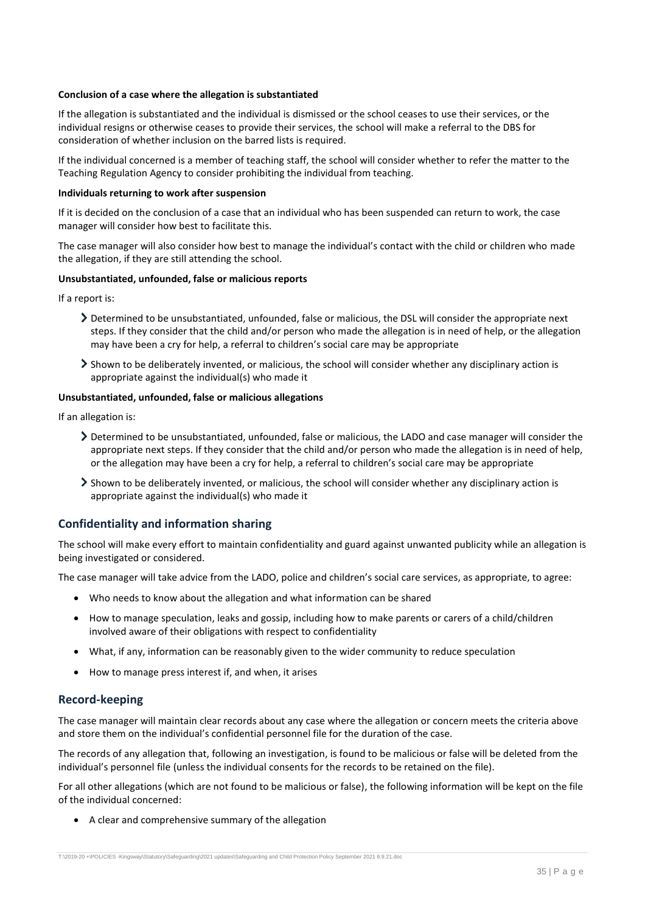#### **Conclusion of a case where the allegation is substantiated**

If the allegation is substantiated and the individual is dismissed or the school ceases to use their services, or the individual resigns or otherwise ceases to provide their services, the school will make a referral to the DBS for consideration of whether inclusion on the barred lists is required.

If the individual concerned is a member of teaching staff, the school will consider whether to refer the matter to the Teaching Regulation Agency to consider prohibiting the individual from teaching.

#### **Individuals returning to work after suspension**

If it is decided on the conclusion of a case that an individual who has been suspended can return to work, the case manager will consider how best to facilitate this.

The case manager will also consider how best to manage the individual's contact with the child or children who made the allegation, if they are still attending the school.

#### **Unsubstantiated, unfounded, false or malicious reports**

If a report is:

- Determined to be unsubstantiated, unfounded, false or malicious, the DSL will consider the appropriate next steps. If they consider that the child and/or person who made the allegation is in need of help, or the allegation may have been a cry for help, a referral to children's social care may be appropriate
- Shown to be deliberately invented, or malicious, the school will consider whether any disciplinary action is appropriate against the individual(s) who made it

#### **Unsubstantiated, unfounded, false or malicious allegations**

If an allegation is:

- Determined to be unsubstantiated, unfounded, false or malicious, the LADO and case manager will consider the appropriate next steps. If they consider that the child and/or person who made the allegation is in need of help, or the allegation may have been a cry for help, a referral to children's social care may be appropriate
- Shown to be deliberately invented, or malicious, the school will consider whether any disciplinary action is appropriate against the individual(s) who made it

#### **Confidentiality and information sharing**

The school will make every effort to maintain confidentiality and guard against unwanted publicity while an allegation is being investigated or considered.

The case manager will take advice from the LADO, police and children's social care services, as appropriate, to agree:

- Who needs to know about the allegation and what information can be shared
- How to manage speculation, leaks and gossip, including how to make parents or carers of a child/children involved aware of their obligations with respect to confidentiality
- What, if any, information can be reasonably given to the wider community to reduce speculation
- How to manage press interest if, and when, it arises

#### **Record-keeping**

The case manager will maintain clear records about any case where the allegation or concern meets the criteria above and store them on the individual's confidential personnel file for the duration of the case.

The records of any allegation that, following an investigation, is found to be malicious or false will be deleted from the individual's personnel file (unless the individual consents for the records to be retained on the file).

For all other allegations (which are not found to be malicious or false), the following information will be kept on the file of the individual concerned:

A clear and comprehensive summary of the allegation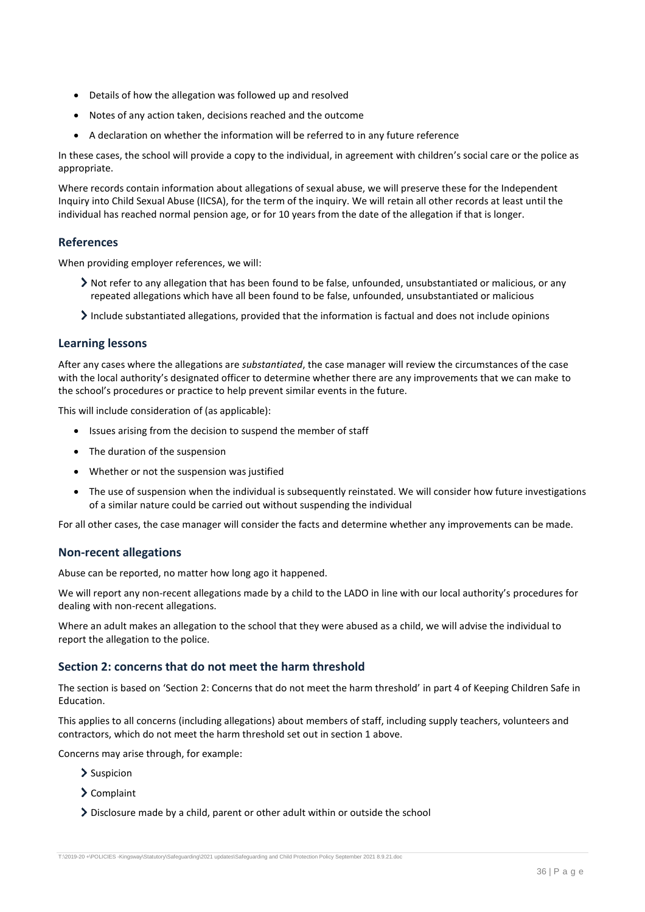- Details of how the allegation was followed up and resolved
- Notes of any action taken, decisions reached and the outcome
- A declaration on whether the information will be referred to in any future reference

In these cases, the school will provide a copy to the individual, in agreement with children's social care or the police as appropriate.

Where records contain information about allegations of sexual abuse, we will preserve these for the Independent Inquiry into Child Sexual Abuse (IICSA), for the term of the inquiry. We will retain all other records at least until the individual has reached normal pension age, or for 10 years from the date of the allegation if that is longer.

### **References**

When providing employer references, we will:

- Not refer to any allegation that has been found to be false, unfounded, unsubstantiated or malicious, or any repeated allegations which have all been found to be false, unfounded, unsubstantiated or malicious
- $\lambda$  Include substantiated allegations, provided that the information is factual and does not include opinions

#### **Learning lessons**

After any cases where the allegations are *substantiated*, the case manager will review the circumstances of the case with the local authority's designated officer to determine whether there are any improvements that we can make to the school's procedures or practice to help prevent similar events in the future.

This will include consideration of (as applicable):

- Issues arising from the decision to suspend the member of staff
- The duration of the suspension
- Whether or not the suspension was justified
- The use of suspension when the individual is subsequently reinstated. We will consider how future investigations of a similar nature could be carried out without suspending the individual

For all other cases, the case manager will consider the facts and determine whether any improvements can be made.

#### **Non-recent allegations**

Abuse can be reported, no matter how long ago it happened.

We will report any non-recent allegations made by a child to the LADO in line with our local authority's procedures for dealing with non-recent allegations.

Where an adult makes an allegation to the school that they were abused as a child, we will advise the individual to report the allegation to the police.

### **Section 2: concerns that do not meet the harm threshold**

The section is based on 'Section 2: Concerns that do not meet the harm threshold' in part 4 of Keeping Children Safe in Education.

This applies to all concerns (including allegations) about members of staff, including supply teachers, volunteers and contractors, which do not meet the harm threshold set out in section 1 above.

Concerns may arise through, for example:

- > Suspicion
- Complaint
- Disclosure made by a child, parent or other adult within or outside the school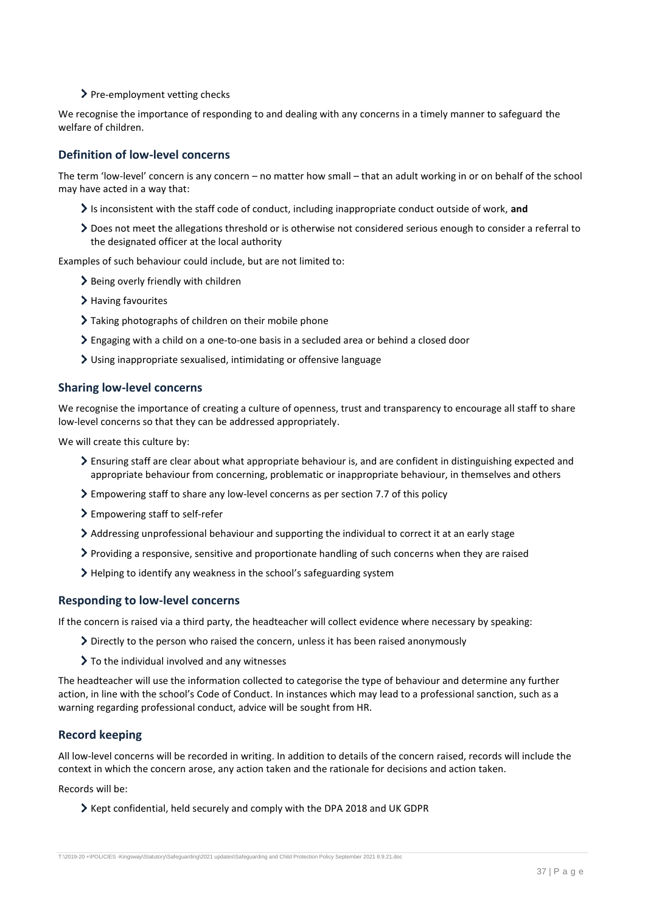> Pre-employment vetting checks

We recognise the importance of responding to and dealing with any concerns in a timely manner to safeguard the welfare of children.

## **Definition of low-level concerns**

The term 'low-level' concern is any concern – no matter how small – that an adult working in or on behalf of the school may have acted in a way that:

- Is inconsistent with the staff code of conduct, including inappropriate conduct outside of work, **and**
- Does not meet the allegations threshold or is otherwise not considered serious enough to consider a referral to the designated officer at the local authority

Examples of such behaviour could include, but are not limited to:

- > Being overly friendly with children
- > Having favourites
- Taking photographs of children on their mobile phone
- $\geq$  Engaging with a child on a one-to-one basis in a secluded area or behind a closed door
- Using inappropriate sexualised, intimidating or offensive language

#### **Sharing low-level concerns**

We recognise the importance of creating a culture of openness, trust and transparency to encourage all staff to share low-level concerns so that they can be addressed appropriately.

We will create this culture by:

- Ensuring staff are clear about what appropriate behaviour is, and are confident in distinguishing expected and appropriate behaviour from concerning, problematic or inappropriate behaviour, in themselves and others
- Empowering staff to share any low-level concerns as per section 7.7 of this policy
- Empowering staff to self-refer
- Addressing unprofessional behaviour and supporting the individual to correct it at an early stage
- Providing a responsive, sensitive and proportionate handling of such concerns when they are raised
- Helping to identify any weakness in the school's safeguarding system

### **Responding to low-level concerns**

If the concern is raised via a third party, the headteacher will collect evidence where necessary by speaking:

- $\sum$  Directly to the person who raised the concern, unless it has been raised anonymously
- $\geq$  To the individual involved and any witnesses

The headteacher will use the information collected to categorise the type of behaviour and determine any further action, in line with the school's Code of Conduct. In instances which may lead to a professional sanction, such as a warning regarding professional conduct, advice will be sought from HR.

### **Record keeping**

All low-level concerns will be recorded in writing. In addition to details of the concern raised, records will include the context in which the concern arose, any action taken and the rationale for decisions and action taken.

Records will be:

 $\geq$  Kept confidential, held securely and comply with the DPA 2018 and UK GDPR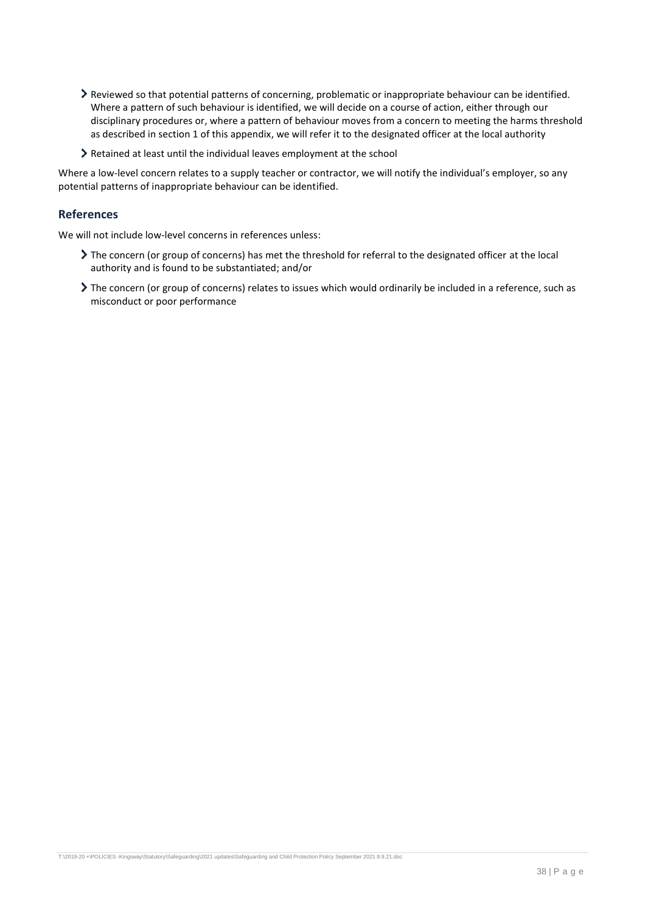- Reviewed so that potential patterns of concerning, problematic or inappropriate behaviour can be identified. Where a pattern of such behaviour is identified, we will decide on a course of action, either through our disciplinary procedures or, where a pattern of behaviour moves from a concern to meeting the harms threshold as described in section 1 of this appendix, we will refer it to the designated officer at the local authority
- Retained at least until the individual leaves employment at the school

Where a low-level concern relates to a supply teacher or contractor, we will notify the individual's employer, so any potential patterns of inappropriate behaviour can be identified.

### **References**

We will not include low-level concerns in references unless:

- The concern (or group of concerns) has met the threshold for referral to the designated officer at the local authority and is found to be substantiated; and/or
- The concern (or group of concerns) relates to issues which would ordinarily be included in a reference, such as misconduct or poor performance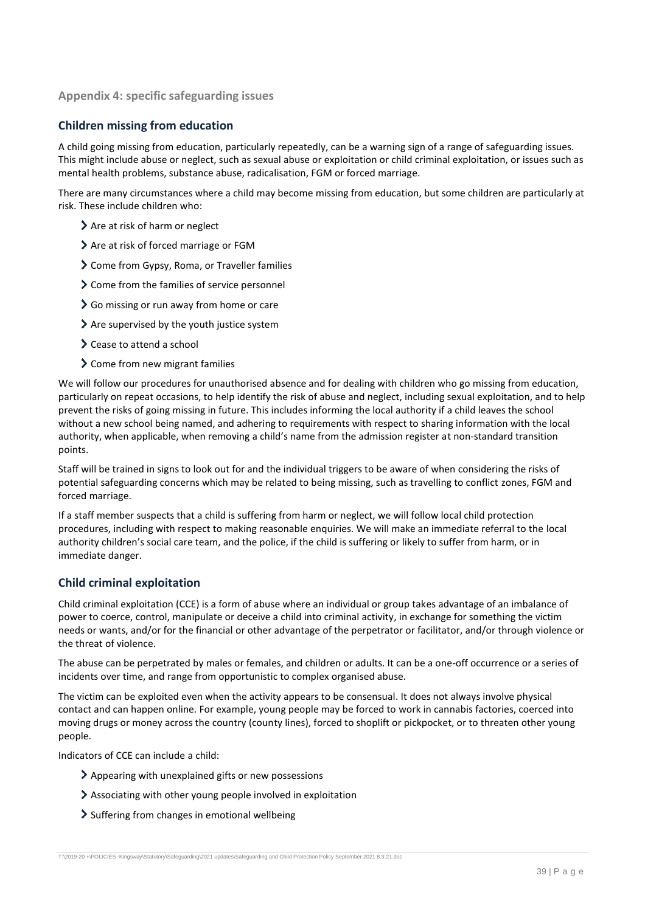### <span id="page-38-0"></span>**Appendix 4: specific safeguarding issues**

### **Children missing from education**

A child going missing from education, particularly repeatedly, can be a warning sign of a range of safeguarding issues. This might include abuse or neglect, such as sexual abuse or exploitation or child criminal exploitation, or issues such as mental health problems, substance abuse, radicalisation, FGM or forced marriage.

There are many circumstances where a child may become missing from education, but some children are particularly at risk. These include children who:

- > Are at risk of harm or neglect
- > Are at risk of forced marriage or FGM
- Come from Gypsy, Roma, or Traveller families
- > Come from the families of service personnel
- So missing or run away from home or care
- Are supervised by the youth justice system
- > Cease to attend a school
- > Come from new migrant families

We will follow our procedures for unauthorised absence and for dealing with children who go missing from education, particularly on repeat occasions, to help identify the risk of abuse and neglect, including sexual exploitation, and to help prevent the risks of going missing in future. This includes informing the local authority if a child leaves the school without a new school being named, and adhering to requirements with respect to sharing information with the local authority, when applicable, when removing a child's name from the admission register at non-standard transition points.

Staff will be trained in signs to look out for and the individual triggers to be aware of when considering the risks of potential safeguarding concerns which may be related to being missing, such as travelling to conflict zones, FGM and forced marriage.

If a staff member suspects that a child is suffering from harm or neglect, we will follow local child protection procedures, including with respect to making reasonable enquiries. We will make an immediate referral to the local authority children's social care team, and the police, if the child is suffering or likely to suffer from harm, or in immediate danger.

### **Child criminal exploitation**

Child criminal exploitation (CCE) is a form of abuse where an individual or group takes advantage of an imbalance of power to coerce, control, manipulate or deceive a child into criminal activity, in exchange for something the victim needs or wants, and/or for the financial or other advantage of the perpetrator or facilitator, and/or through violence or the threat of violence.

The abuse can be perpetrated by males or females, and children or adults. It can be a one-off occurrence or a series of incidents over time, and range from opportunistic to complex organised abuse.

The victim can be exploited even when the activity appears to be consensual. It does not always involve physical contact and can happen online. For example, young people may be forced to work in cannabis factories, coerced into moving drugs or money across the country (county lines), forced to shoplift or pickpocket, or to threaten other young people.

Indicators of CCE can include a child:

- Appearing with unexplained gifts or new possessions
- Associating with other young people involved in exploitation
- Suffering from changes in emotional wellbeing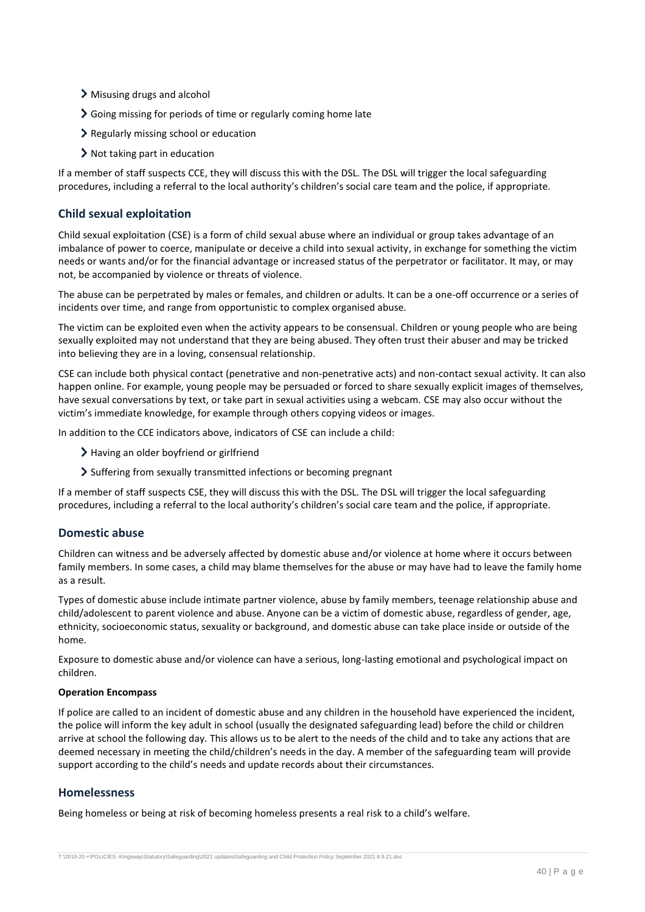- Misusing drugs and alcohol
- Going missing for periods of time or regularly coming home late
- Regularly missing school or education
- Not taking part in education

If a member of staff suspects CCE, they will discuss this with the DSL. The DSL will trigger the local safeguarding procedures, including a referral to the local authority's children's social care team and the police, if appropriate.

### **Child sexual exploitation**

Child sexual exploitation (CSE) is a form of child sexual abuse where an individual or group takes advantage of an imbalance of power to coerce, manipulate or deceive a child into sexual activity, in exchange for something the victim needs or wants and/or for the financial advantage or increased status of the perpetrator or facilitator. It may, or may not, be accompanied by violence or threats of violence.

The abuse can be perpetrated by males or females, and children or adults. It can be a one-off occurrence or a series of incidents over time, and range from opportunistic to complex organised abuse.

The victim can be exploited even when the activity appears to be consensual. Children or young people who are being sexually exploited may not understand that they are being abused. They often trust their abuser and may be tricked into believing they are in a loving, consensual relationship.

CSE can include both physical contact (penetrative and non-penetrative acts) and non-contact sexual activity. It can also happen online. For example, young people may be persuaded or forced to share sexually explicit images of themselves, have sexual conversations by text, or take part in sexual activities using a webcam. CSE may also occur without the victim's immediate knowledge, for example through others copying videos or images.

In addition to the CCE indicators above, indicators of CSE can include a child:

- > Having an older boyfriend or girlfriend
- Suffering from sexually transmitted infections or becoming pregnant

If a member of staff suspects CSE, they will discuss this with the DSL. The DSL will trigger the local safeguarding procedures, including a referral to the local authority's children's social care team and the police, if appropriate.

### **Domestic abuse**

Children can witness and be adversely affected by domestic abuse and/or violence at home where it occurs between family members. In some cases, a child may blame themselves for the abuse or may have had to leave the family home as a result.

Types of domestic abuse include intimate partner violence, abuse by family members, teenage relationship abuse and child/adolescent to parent violence and abuse. Anyone can be a victim of domestic abuse, regardless of gender, age, ethnicity, socioeconomic status, sexuality or background, and domestic abuse can take place inside or outside of the home.

Exposure to domestic abuse and/or violence can have a serious, long-lasting emotional and psychological impact on children.

#### **Operation Encompass**

If police are called to an incident of domestic abuse and any children in the household have experienced the incident, the police will inform the key adult in school (usually the designated safeguarding lead) before the child or children arrive at school the following day. This allows us to be alert to the needs of the child and to take any actions that are deemed necessary in meeting the child/children's needs in the day. A member of the safeguarding team will provide support according to the child's needs and update records about their circumstances.

### **Homelessness**

Being homeless or being at risk of becoming homeless presents a real risk to a child's welfare.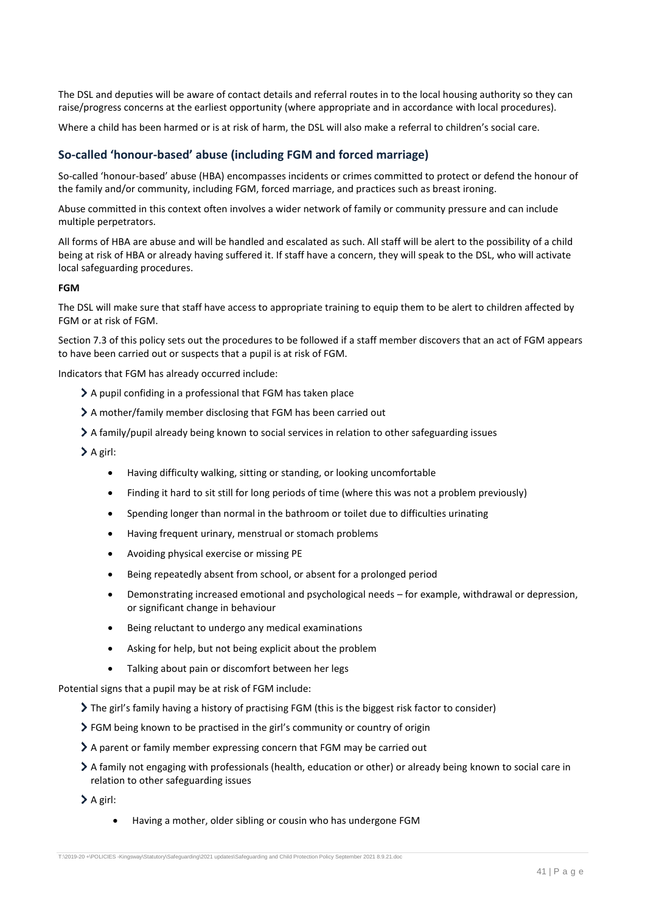The DSL and deputies will be aware of contact details and referral routes in to the local housing authority so they can raise/progress concerns at the earliest opportunity (where appropriate and in accordance with local procedures).

Where a child has been harmed or is at risk of harm, the DSL will also make a referral to children's social care.

#### **So-called 'honour-based' abuse (including FGM and forced marriage)**

So-called 'honour-based' abuse (HBA) encompasses incidents or crimes committed to protect or defend the honour of the family and/or community, including FGM, forced marriage, and practices such as breast ironing.

Abuse committed in this context often involves a wider network of family or community pressure and can include multiple perpetrators.

All forms of HBA are abuse and will be handled and escalated as such. All staff will be alert to the possibility of a child being at risk of HBA or already having suffered it. If staff have a concern, they will speak to the DSL, who will activate local safeguarding procedures.

#### **FGM**

The DSL will make sure that staff have access to appropriate training to equip them to be alert to children affected by FGM or at risk of FGM.

Section 7.3 of this policy sets out the procedures to be followed if a staff member discovers that an act of FGM appears to have been carried out or suspects that a pupil is at risk of FGM.

Indicators that FGM has already occurred include:

- A pupil confiding in a professional that FGM has taken place
- A mother/family member disclosing that FGM has been carried out
- A family/pupil already being known to social services in relation to other safeguarding issues

 $\sum A$  girl:

- Having difficulty walking, sitting or standing, or looking uncomfortable
- Finding it hard to sit still for long periods of time (where this was not a problem previously)
- Spending longer than normal in the bathroom or toilet due to difficulties urinating
- Having frequent urinary, menstrual or stomach problems
- Avoiding physical exercise or missing PE
- Being repeatedly absent from school, or absent for a prolonged period
- Demonstrating increased emotional and psychological needs for example, withdrawal or depression, or significant change in behaviour
- Being reluctant to undergo any medical examinations
- Asking for help, but not being explicit about the problem
- Talking about pain or discomfort between her legs

Potential signs that a pupil may be at risk of FGM include:

- The girl's family having a history of practising FGM (this is the biggest risk factor to consider)
- FGM being known to be practised in the girl's community or country of origin
- A parent or family member expressing concern that FGM may be carried out
- A family not engaging with professionals (health, education or other) or already being known to social care in relation to other safeguarding issues

 $\sum A$  girl:

Having a mother, older sibling or cousin who has undergone FGM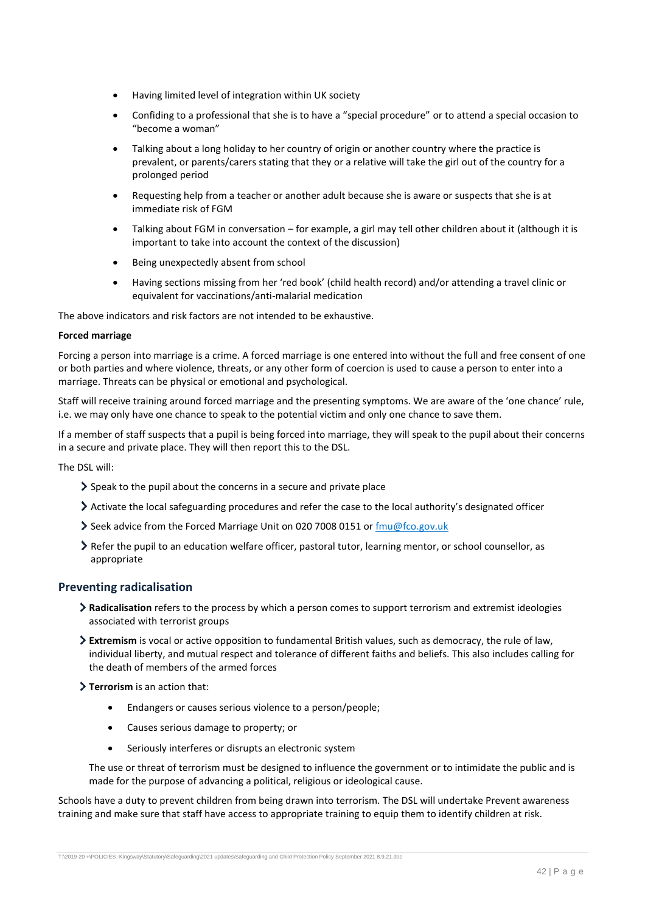- Having limited level of integration within UK society
- Confiding to a professional that she is to have a "special procedure" or to attend a special occasion to "become a woman"
- Talking about a long holiday to her country of origin or another country where the practice is prevalent, or parents/carers stating that they or a relative will take the girl out of the country for a prolonged period
- Requesting help from a teacher or another adult because she is aware or suspects that she is at immediate risk of FGM
- Talking about FGM in conversation for example, a girl may tell other children about it (although it is important to take into account the context of the discussion)
- Being unexpectedly absent from school
- Having sections missing from her 'red book' (child health record) and/or attending a travel clinic or equivalent for vaccinations/anti-malarial medication

The above indicators and risk factors are not intended to be exhaustive.

#### **Forced marriage**

Forcing a person into marriage is a crime. A forced marriage is one entered into without the full and free consent of one or both parties and where violence, threats, or any other form of coercion is used to cause a person to enter into a marriage. Threats can be physical or emotional and psychological.

Staff will receive training around forced marriage and the presenting symptoms. We are aware of the 'one chance' rule, i.e. we may only have one chance to speak to the potential victim and only one chance to save them.

If a member of staff suspects that a pupil is being forced into marriage, they will speak to the pupil about their concerns in a secure and private place. They will then report this to the DSL.

The DSL will:

- $\geq$  Speak to the pupil about the concerns in a secure and private place
- Activate the local safeguarding procedures and refer the case to the local authority's designated officer
- Seek advice from the Forced Marriage Unit on 020 7008 0151 or  $\frac{fmu@fco.gov.uk}{fmu@fco.gov.uk}$
- Refer the pupil to an education welfare officer, pastoral tutor, learning mentor, or school counsellor, as appropriate

#### **Preventing radicalisation**

- **Radicalisation** refers to the process by which a person comes to support terrorism and extremist ideologies associated with terrorist groups
- **Extremism** is vocal or active opposition to fundamental British values, such as democracy, the rule of law, individual liberty, and mutual respect and tolerance of different faiths and beliefs. This also includes calling for the death of members of the armed forces
- **Terrorism** is an action that:
	- Endangers or causes serious violence to a person/people;
	- Causes serious damage to property; or
	- Seriously interferes or disrupts an electronic system

The use or threat of terrorism must be designed to influence the government or to intimidate the public and is made for the purpose of advancing a political, religious or ideological cause.

Schools have a duty to prevent children from being drawn into terrorism. The DSL will undertake Prevent awareness training and make sure that staff have access to appropriate training to equip them to identify children at risk.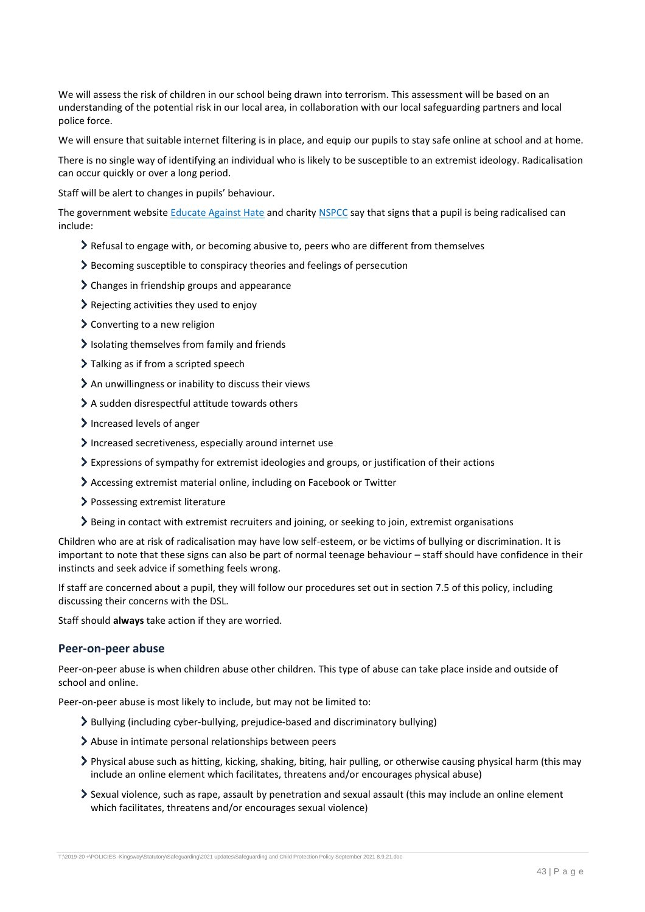We will assess the risk of children in our school being drawn into terrorism. This assessment will be based on an understanding of the potential risk in our local area, in collaboration with our local safeguarding partners and local police force.

We will ensure that suitable internet filtering is in place, and equip our pupils to stay safe online at school and at home.

There is no single way of identifying an individual who is likely to be susceptible to an extremist ideology. Radicalisation can occur quickly or over a long period.

Staff will be alert to changes in pupils' behaviour.

The government websit[e Educate Against Hate](http://educateagainsthate.com/parents/what-are-the-warning-signs/) and charity [NSPCC](https://www.nspcc.org.uk/what-you-can-do/report-abuse/dedicated-helplines/protecting-children-from-radicalisation/) say that signs that a pupil is being radicalised can include:

- Refusal to engage with, or becoming abusive to, peers who are different from themselves
- Becoming susceptible to conspiracy theories and feelings of persecution
- > Changes in friendship groups and appearance
- Rejecting activities they used to enjoy
- Converting to a new religion
- $\ge$  Isolating themselves from family and friends
- > Talking as if from a scripted speech
- An unwillingness or inability to discuss their views
- A sudden disrespectful attitude towards others
- Increased levels of anger
- Increased secretiveness, especially around internet use
- Expressions of sympathy for extremist ideologies and groups, or justification of their actions
- Accessing extremist material online, including on Facebook or Twitter
- > Possessing extremist literature
- Being in contact with extremist recruiters and joining, or seeking to join, extremist organisations

Children who are at risk of radicalisation may have low self-esteem, or be victims of bullying or discrimination. It is important to note that these signs can also be part of normal teenage behaviour – staff should have confidence in their instincts and seek advice if something feels wrong.

If staff are concerned about a pupil, they will follow our procedures set out in section 7.5 of this policy, including discussing their concerns with the DSL.

Staff should **always** take action if they are worried.

#### **Peer-on-peer abuse**

Peer-on-peer abuse is when children abuse other children. This type of abuse can take place inside and outside of school and online.

Peer-on-peer abuse is most likely to include, but may not be limited to:

- Bullying (including cyber-bullying, prejudice-based and discriminatory bullying)
- Abuse in intimate personal relationships between peers
- Physical abuse such as hitting, kicking, shaking, biting, hair pulling, or otherwise causing physical harm (this may include an online element which facilitates, threatens and/or encourages physical abuse)
- Sexual violence, such as rape, assault by penetration and sexual assault (this may include an online element which facilitates, threatens and/or encourages sexual violence)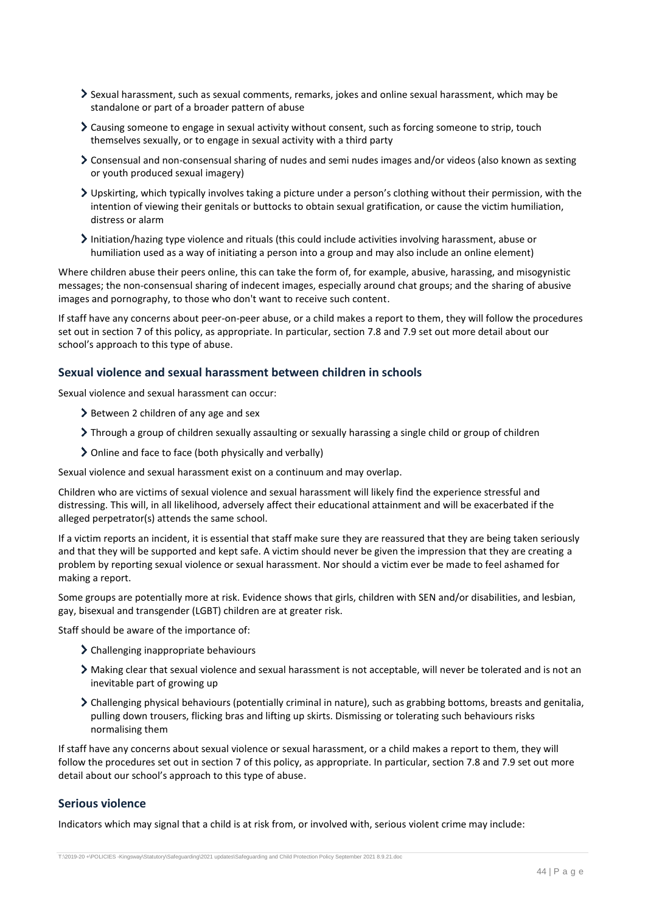- Sexual harassment, such as sexual comments, remarks, jokes and online sexual harassment, which may be standalone or part of a broader pattern of abuse
- Causing someone to engage in sexual activity without consent, such as forcing someone to strip, touch themselves sexually, or to engage in sexual activity with a third party
- Consensual and non-consensual sharing of nudes and semi nudes images and/or videos (also known as sexting or youth produced sexual imagery)
- Upskirting, which typically involves taking a picture under a person's clothing without their permission, with the intention of viewing their genitals or buttocks to obtain sexual gratification, or cause the victim humiliation, distress or alarm
- Initiation/hazing type violence and rituals (this could include activities involving harassment, abuse or humiliation used as a way of initiating a person into a group and may also include an online element)

Where children abuse their peers online, this can take the form of, for example, abusive, harassing, and misogynistic messages; the non-consensual sharing of indecent images, especially around chat groups; and the sharing of abusive images and pornography, to those who don't want to receive such content.

If staff have any concerns about peer-on-peer abuse, or a child makes a report to them, they will follow the procedures set out in section 7 of this policy, as appropriate. In particular, section 7.8 and 7.9 set out more detail about our school's approach to this type of abuse.

### **Sexual violence and sexual harassment between children in schools**

Sexual violence and sexual harassment can occur:

- $\geq$  Between 2 children of any age and sex
- Through a group of children sexually assaulting or sexually harassing a single child or group of children
- Online and face to face (both physically and verbally)

Sexual violence and sexual harassment exist on a continuum and may overlap.

Children who are victims of sexual violence and sexual harassment will likely find the experience stressful and distressing. This will, in all likelihood, adversely affect their educational attainment and will be exacerbated if the alleged perpetrator(s) attends the same school.

If a victim reports an incident, it is essential that staff make sure they are reassured that they are being taken seriously and that they will be supported and kept safe. A victim should never be given the impression that they are creating a problem by reporting sexual violence or sexual harassment. Nor should a victim ever be made to feel ashamed for making a report.

Some groups are potentially more at risk. Evidence shows that girls, children with SEN and/or disabilities, and lesbian, gay, bisexual and transgender (LGBT) children are at greater risk.

Staff should be aware of the importance of:

- Challenging inappropriate behaviours
- Making clear that sexual violence and sexual harassment is not acceptable, will never be tolerated and is not an inevitable part of growing up
- Challenging physical behaviours (potentially criminal in nature), such as grabbing bottoms, breasts and genitalia, pulling down trousers, flicking bras and lifting up skirts. Dismissing or tolerating such behaviours risks normalising them

If staff have any concerns about sexual violence or sexual harassment, or a child makes a report to them, they will follow the procedures set out in section 7 of this policy, as appropriate. In particular, section 7.8 and 7.9 set out more detail about our school's approach to this type of abuse.

### **Serious violence**

Indicators which may signal that a child is at risk from, or involved with, serious violent crime may include: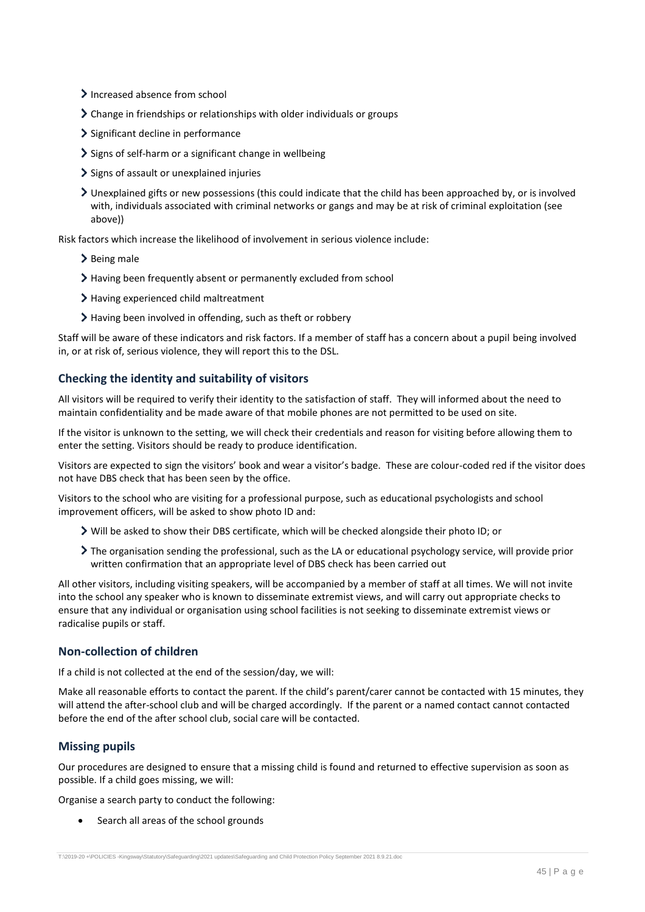- > Increased absence from school
- Change in friendships or relationships with older individuals or groups
- > Significant decline in performance
- Signs of self-harm or a significant change in wellbeing
- Signs of assault or unexplained injuries
- Unexplained gifts or new possessions (this could indicate that the child has been approached by, or is involved with, individuals associated with criminal networks or gangs and may be at risk of criminal exploitation (see above))

Risk factors which increase the likelihood of involvement in serious violence include:

- $\blacktriangleright$  Being male
- Having been frequently absent or permanently excluded from school
- > Having experienced child maltreatment
- Having been involved in offending, such as theft or robbery

Staff will be aware of these indicators and risk factors. If a member of staff has a concern about a pupil being involved in, or at risk of, serious violence, they will report this to the DSL.

#### **Checking the identity and suitability of visitors**

All visitors will be required to verify their identity to the satisfaction of staff. They will informed about the need to maintain confidentiality and be made aware of that mobile phones are not permitted to be used on site.

If the visitor is unknown to the setting, we will check their credentials and reason for visiting before allowing them to enter the setting. Visitors should be ready to produce identification.

Visitors are expected to sign the visitors' book and wear a visitor's badge. These are colour-coded red if the visitor does not have DBS check that has been seen by the office.

Visitors to the school who are visiting for a professional purpose, such as educational psychologists and school improvement officers, will be asked to show photo ID and:

- $\triangleright$  Will be asked to show their DBS certificate, which will be checked alongside their photo ID; or
- The organisation sending the professional, such as the LA or educational psychology service, will provide prior written confirmation that an appropriate level of DBS check has been carried out

All other visitors, including visiting speakers, will be accompanied by a member of staff at all times. We will not invite into the school any speaker who is known to disseminate extremist views, and will carry out appropriate checks to ensure that any individual or organisation using school facilities is not seeking to disseminate extremist views or radicalise pupils or staff.

#### **Non-collection of children**

If a child is not collected at the end of the session/day, we will:

Make all reasonable efforts to contact the parent. If the child's parent/carer cannot be contacted with 15 minutes, they will attend the after-school club and will be charged accordingly. If the parent or a named contact cannot contacted before the end of the after school club, social care will be contacted.

### **Missing pupils**

Our procedures are designed to ensure that a missing child is found and returned to effective supervision as soon as possible. If a child goes missing, we will:

Organise a search party to conduct the following:

Search all areas of the school grounds